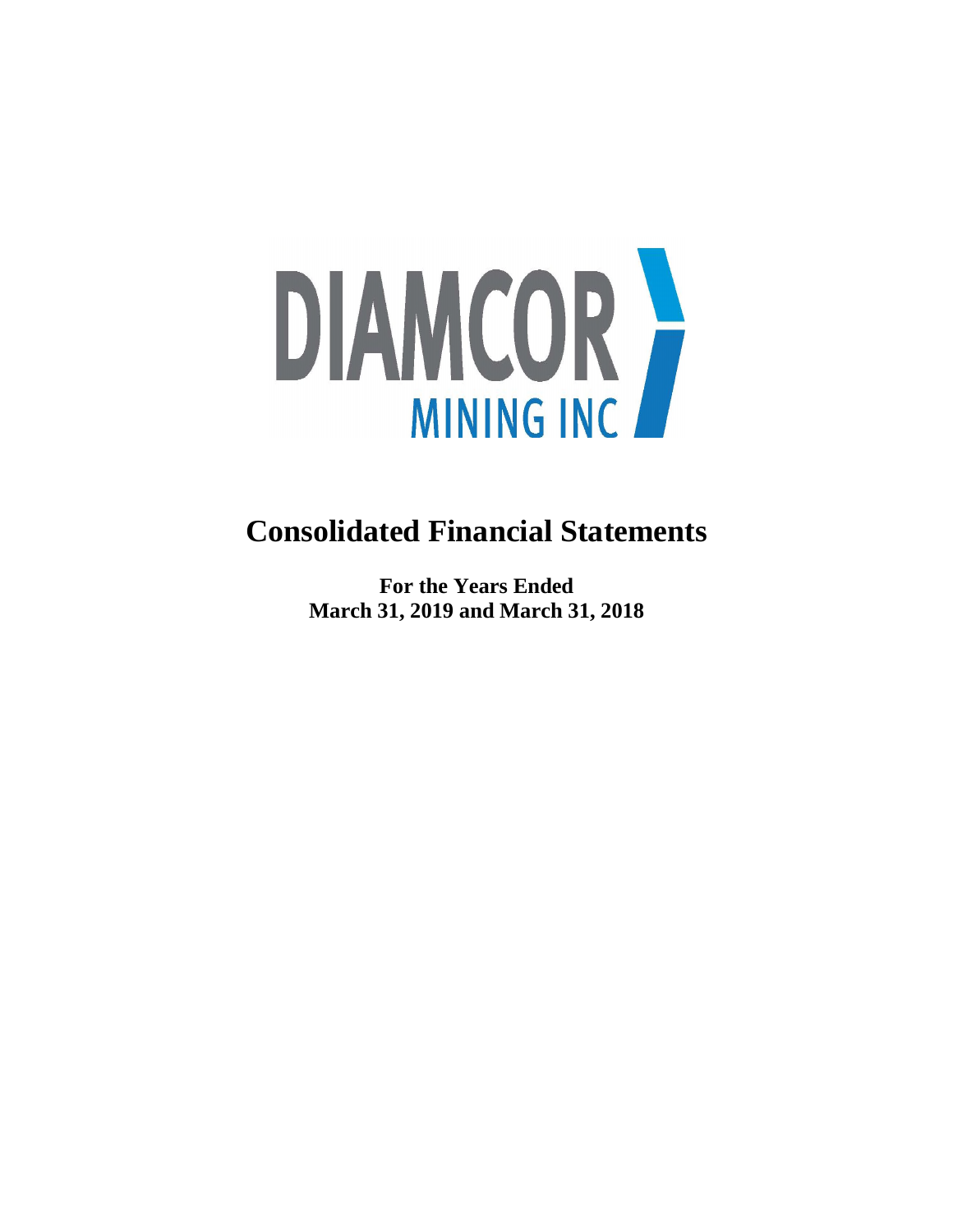

# **Consolidated Financial Statements**

**For the Years Ended March 31, 2019 and March 31, 2018**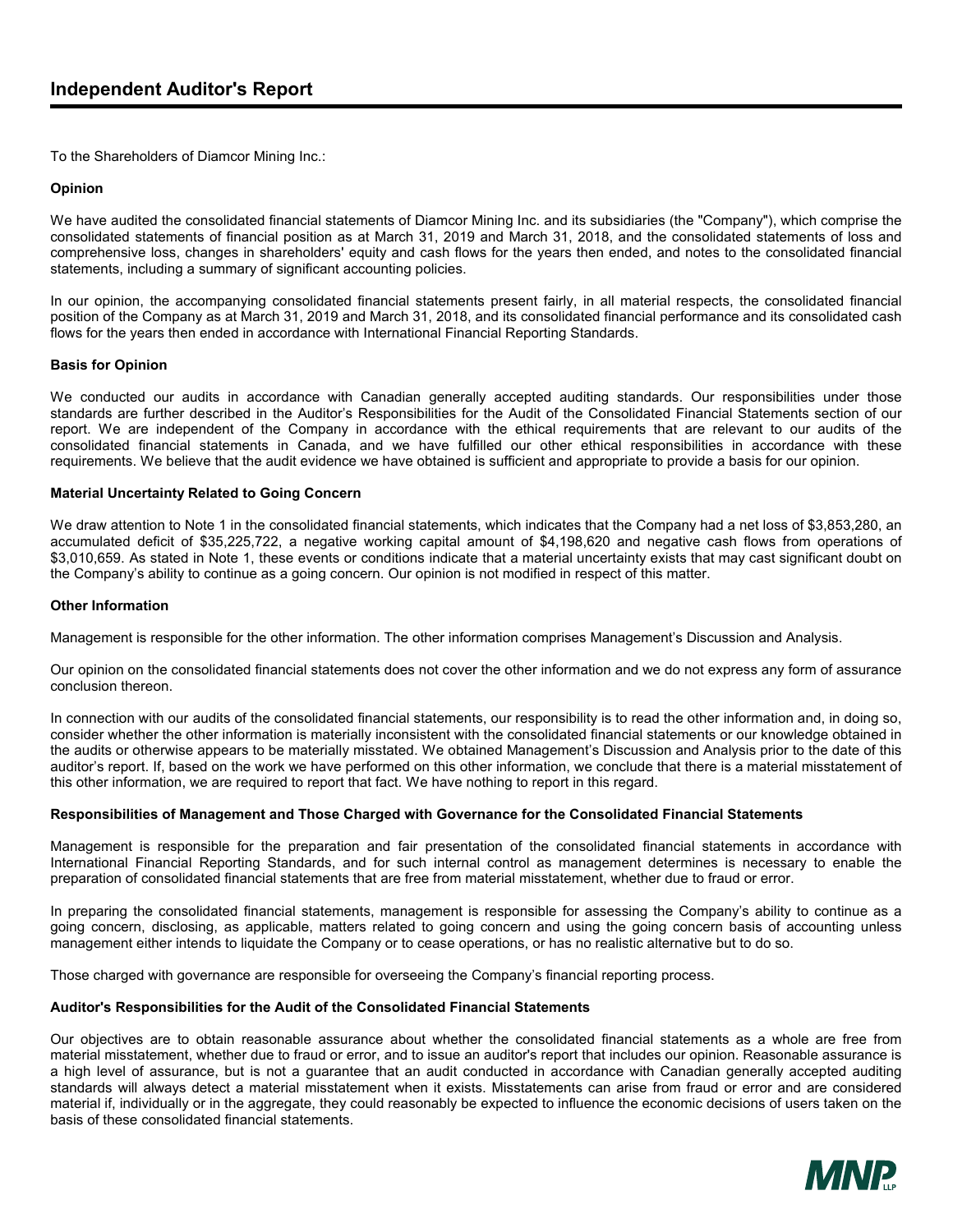To the Shareholders of Diamcor Mining Inc.:

#### **Opinion**

We have audited the consolidated financial statements of Diamcor Mining Inc. and its subsidiaries (the "Company"), which comprise the consolidated statements of financial position as at March 31, 2019 and March 31, 2018, and the consolidated statements of loss and comprehensive loss, changes in shareholders' equity and cash flows for the years then ended, and notes to the consolidated financial statements, including a summary of significant accounting policies.

In our opinion, the accompanying consolidated financial statements present fairly, in all material respects, the consolidated financial position of the Company as at March 31, 2019 and March 31, 2018, and its consolidated financial performance and its consolidated cash flows for the years then ended in accordance with International Financial Reporting Standards.

#### **Basis for Opinion**

We conducted our audits in accordance with Canadian generally accepted auditing standards. Our responsibilities under those standards are further described in the Auditor's Responsibilities for the Audit of the Consolidated Financial Statements section of our report. We are independent of the Company in accordance with the ethical requirements that are relevant to our audits of the consolidated financial statements in Canada, and we have fulfilled our other ethical responsibilities in accordance with these requirements. We believe that the audit evidence we have obtained is sufficient and appropriate to provide a basis for our opinion.

#### **Material Uncertainty Related to Going Concern**

We draw attention to Note 1 in the consolidated financial statements, which indicates that the Company had a net loss of \$3,853,280, an accumulated deficit of \$35,225,722, a negative working capital amount of \$4,198,620 and negative cash flows from operations of \$3,010,659. As stated in Note 1, these events or conditions indicate that a material uncertainty exists that may cast significant doubt on the Company's ability to continue as a going concern. Our opinion is not modified in respect of this matter.

#### **Other Information**

Management is responsible for the other information. The other information comprises Management's Discussion and Analysis.

Our opinion on the consolidated financial statements does not cover the other information and we do not express any form of assurance conclusion thereon.

In connection with our audits of the consolidated financial statements, our responsibility is to read the other information and, in doing so, consider whether the other information is materially inconsistent with the consolidated financial statements or our knowledge obtained in the audits or otherwise appears to be materially misstated. We obtained Management's Discussion and Analysis prior to the date of this auditor's report. If, based on the work we have performed on this other information, we conclude that there is a material misstatement of this other information, we are required to report that fact. We have nothing to report in this regard.

# **Responsibilities of Management and Those Charged with Governance for the Consolidated Financial Statements**

Management is responsible for the preparation and fair presentation of the consolidated financial statements in accordance with International Financial Reporting Standards, and for such internal control as management determines is necessary to enable the preparation of consolidated financial statements that are free from material misstatement, whether due to fraud or error.

In preparing the consolidated financial statements, management is responsible for assessing the Company's ability to continue as a going concern, disclosing, as applicable, matters related to going concern and using the going concern basis of accounting unless management either intends to liquidate the Company or to cease operations, or has no realistic alternative but to do so.

Those charged with governance are responsible for overseeing the Company's financial reporting process.

# **Auditor's Responsibilities for the Audit of the Consolidated Financial Statements**

Our objectives are to obtain reasonable assurance about whether the consolidated financial statements as a whole are free from material misstatement, whether due to fraud or error, and to issue an auditor's report that includes our opinion. Reasonable assurance is a high level of assurance, but is not a guarantee that an audit conducted in accordance with Canadian generally accepted auditing standards will always detect a material misstatement when it exists. Misstatements can arise from fraud or error and are considered material if, individually or in the aggregate, they could reasonably be expected to influence the economic decisions of users taken on the basis of these consolidated financial statements.

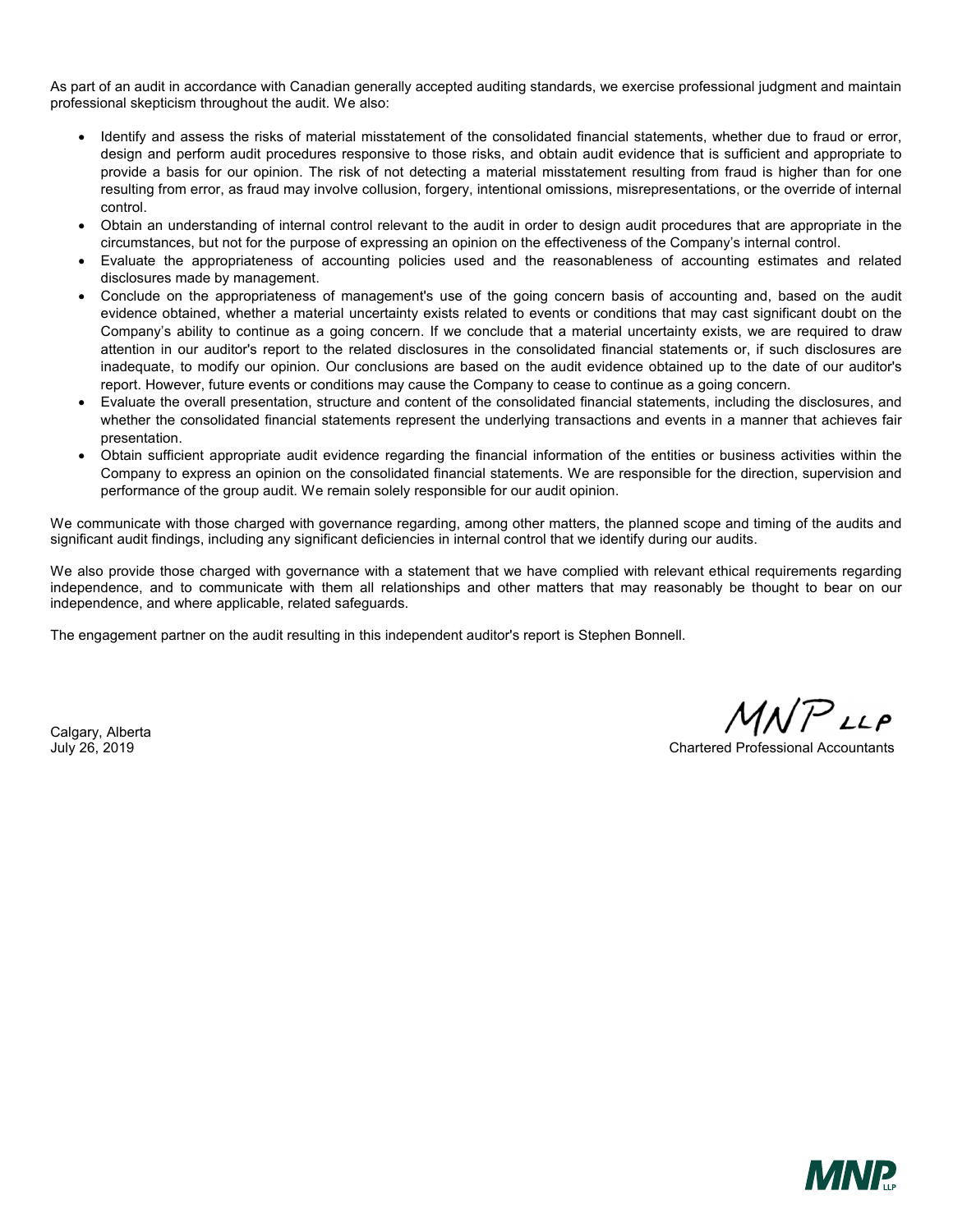As part of an audit in accordance with Canadian generally accepted auditing standards, we exercise professional judgment and maintain professional skepticism throughout the audit. We also:

- Identify and assess the risks of material misstatement of the consolidated financial statements, whether due to fraud or error, design and perform audit procedures responsive to those risks, and obtain audit evidence that is sufficient and appropriate to provide a basis for our opinion. The risk of not detecting a material misstatement resulting from fraud is higher than for one resulting from error, as fraud may involve collusion, forgery, intentional omissions, misrepresentations, or the override of internal control.
- Obtain an understanding of internal control relevant to the audit in order to design audit procedures that are appropriate in the circumstances, but not for the purpose of expressing an opinion on the effectiveness of the Company's internal control.
- Evaluate the appropriateness of accounting policies used and the reasonableness of accounting estimates and related disclosures made by management.
- Conclude on the appropriateness of management's use of the going concern basis of accounting and, based on the audit evidence obtained, whether a material uncertainty exists related to events or conditions that may cast significant doubt on the Company's ability to continue as a going concern. If we conclude that a material uncertainty exists, we are required to draw attention in our auditor's report to the related disclosures in the consolidated financial statements or, if such disclosures are inadequate, to modify our opinion. Our conclusions are based on the audit evidence obtained up to the date of our auditor's report. However, future events or conditions may cause the Company to cease to continue as a going concern.
- Evaluate the overall presentation, structure and content of the consolidated financial statements, including the disclosures, and whether the consolidated financial statements represent the underlying transactions and events in a manner that achieves fair presentation.
- Obtain sufficient appropriate audit evidence regarding the financial information of the entities or business activities within the Company to express an opinion on the consolidated financial statements. We are responsible for the direction, supervision and performance of the group audit. We remain solely responsible for our audit opinion.

We communicate with those charged with governance regarding, among other matters, the planned scope and timing of the audits and significant audit findings, including any significant deficiencies in internal control that we identify during our audits.

We also provide those charged with governance with a statement that we have complied with relevant ethical requirements regarding independence, and to communicate with them all relationships and other matters that may reasonably be thought to bear on our independence, and where applicable, related safeguards.

The engagement partner on the audit resulting in this independent auditor's report is Stephen Bonnell.

Calgary, Alberta

 $M$  $N$  $P$ <sub> $LL$  $P$ </sub>

July 26, 2019 Chartered Professional Accountants

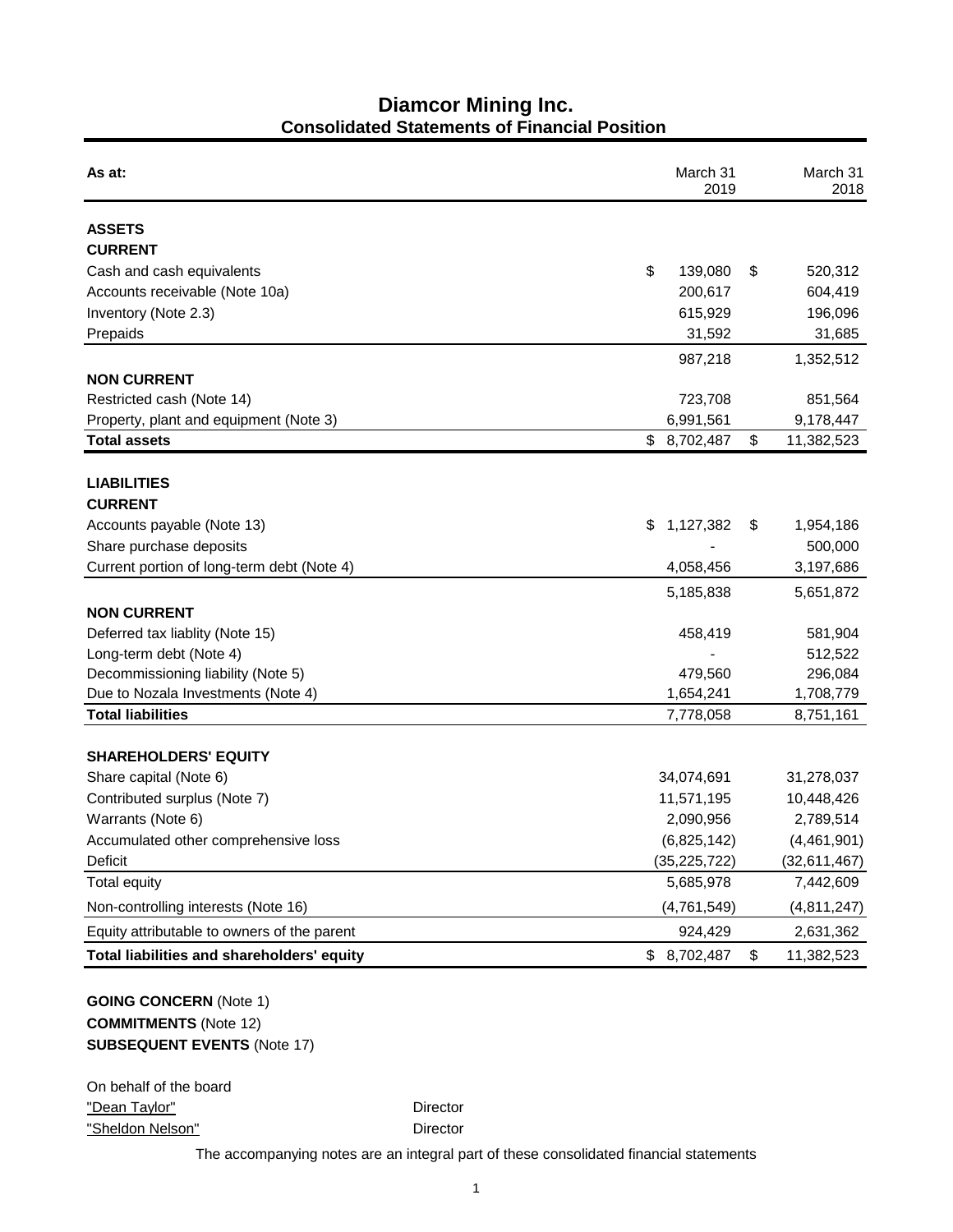# **Diamcor Mining Inc. Consolidated Statements of Financial Position**

| <b>ASSETS</b>                               | \$              |                  |
|---------------------------------------------|-----------------|------------------|
|                                             |                 |                  |
| <b>CURRENT</b>                              |                 |                  |
| Cash and cash equivalents                   | 139,080         | \$<br>520,312    |
| Accounts receivable (Note 10a)              | 200,617         | 604,419          |
| Inventory (Note 2.3)                        | 615,929         | 196,096          |
| Prepaids                                    | 31,592          | 31,685           |
|                                             | 987,218         | 1,352,512        |
| <b>NON CURRENT</b>                          |                 |                  |
| Restricted cash (Note 14)                   | 723,708         | 851,564          |
| Property, plant and equipment (Note 3)      | 6,991,561       | 9,178,447        |
| <b>Total assets</b>                         | \$<br>8,702,487 | \$<br>11,382,523 |
|                                             |                 |                  |
| <b>LIABILITIES</b><br><b>CURRENT</b>        |                 |                  |
| Accounts payable (Note 13)                  | \$<br>1,127,382 | \$<br>1,954,186  |
| Share purchase deposits                     |                 | 500,000          |
| Current portion of long-term debt (Note 4)  | 4,058,456       | 3,197,686        |
|                                             | 5,185,838       | 5,651,872        |
| <b>NON CURRENT</b>                          |                 |                  |
| Deferred tax liablity (Note 15)             | 458,419         | 581,904          |
| Long-term debt (Note 4)                     |                 | 512,522          |
| Decommissioning liability (Note 5)          | 479,560         | 296,084          |
| Due to Nozala Investments (Note 4)          | 1,654,241       | 1,708,779        |
| <b>Total liabilities</b>                    | 7,778,058       | 8,751,161        |
|                                             |                 |                  |
| <b>SHAREHOLDERS' EQUITY</b>                 |                 |                  |
| Share capital (Note 6)                      | 34,074,691      | 31,278,037       |
| Contributed surplus (Note 7)                | 11,571,195      | 10,448,426       |
| Warrants (Note 6)                           | 2,090,956       | 2,789,514        |
| Accumulated other comprehensive loss        | (6,825,142)     | (4,461,901)      |
| <b>Deficit</b>                              | (35, 225, 722)  | (32, 611, 467)   |
| <b>Total equity</b>                         | 5,685,978       | 7,442,609        |
| Non-controlling interests (Note 16)         | (4,761,549)     | (4,811,247)      |
| Equity attributable to owners of the parent | 924,429         | 2,631,362        |
| Total liabilities and shareholders' equity  | \$<br>8,702,487 | \$<br>11,382,523 |

# **GOING CONCERN** (Note 1) **COMMITMENTS** (Note 12) **SUBSEQUENT EVENTS** (Note 17)

On behalf of the board "Dean Taylor" **Director** Director "Sheldon Nelson" Director

The accompanying notes are an integral part of these consolidated financial statements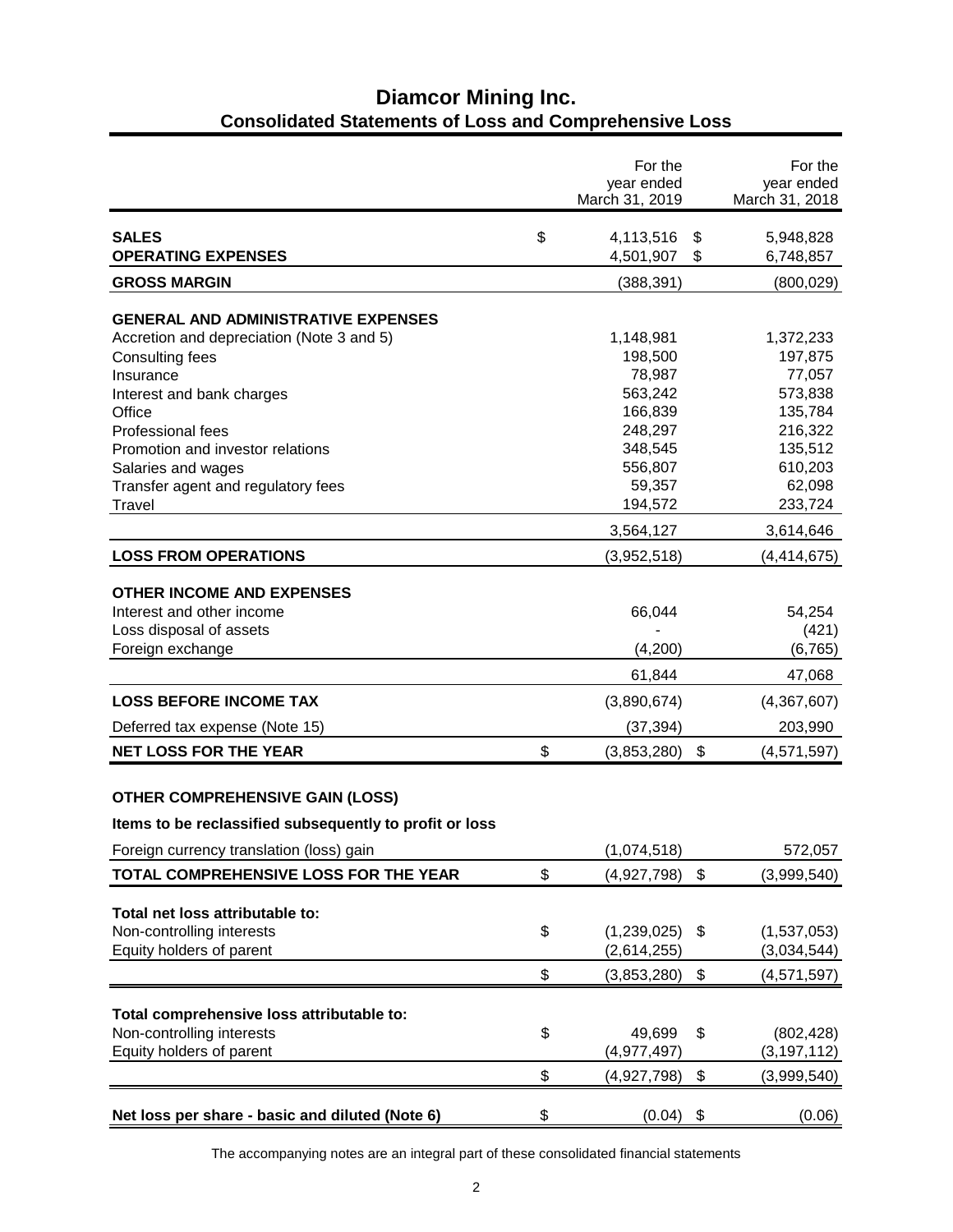|                                                         | For the<br>year ended<br>March 31, 2019 |                           | For the<br>year ended<br>March 31, 2018 |
|---------------------------------------------------------|-----------------------------------------|---------------------------|-----------------------------------------|
| <b>SALES</b>                                            | \$<br>4,113,516                         | \$                        | 5,948,828                               |
| <b>OPERATING EXPENSES</b>                               | 4,501,907                               | \$                        | 6,748,857                               |
| <b>GROSS MARGIN</b>                                     | (388, 391)                              |                           | (800, 029)                              |
| <b>GENERAL AND ADMINISTRATIVE EXPENSES</b>              |                                         |                           |                                         |
| Accretion and depreciation (Note 3 and 5)               | 1,148,981                               |                           | 1,372,233                               |
| <b>Consulting fees</b>                                  | 198,500                                 |                           | 197,875                                 |
| Insurance                                               | 78,987                                  |                           | 77,057                                  |
| Interest and bank charges                               | 563,242                                 |                           | 573,838                                 |
| Office                                                  | 166,839                                 |                           | 135,784                                 |
| <b>Professional fees</b>                                | 248,297                                 |                           | 216,322                                 |
| Promotion and investor relations                        | 348,545                                 |                           | 135,512                                 |
| Salaries and wages                                      | 556,807                                 |                           | 610,203                                 |
| Transfer agent and regulatory fees                      | 59,357                                  |                           | 62,098                                  |
| Travel                                                  | 194,572                                 |                           | 233,724                                 |
|                                                         | 3,564,127                               |                           | 3,614,646                               |
| <b>LOSS FROM OPERATIONS</b>                             | (3,952,518)                             |                           | (4, 414, 675)                           |
| <b>OTHER INCOME AND EXPENSES</b>                        |                                         |                           |                                         |
| Interest and other income                               | 66,044                                  |                           | 54,254                                  |
| Loss disposal of assets                                 |                                         |                           | (421)                                   |
| Foreign exchange                                        | (4,200)                                 |                           | (6, 765)                                |
|                                                         | 61,844                                  |                           | 47,068                                  |
| <b>LOSS BEFORE INCOME TAX</b>                           | (3,890,674)                             |                           | (4,367,607)                             |
| Deferred tax expense (Note 15)                          | (37, 394)                               |                           | 203,990                                 |
| <b>NET LOSS FOR THE YEAR</b>                            | \$<br>(3,853,280)                       | $\frac{1}{2}$             | (4,571,597)                             |
|                                                         |                                         |                           |                                         |
| <b>OTHER COMPREHENSIVE GAIN (LOSS)</b>                  |                                         |                           |                                         |
| Items to be reclassified subsequently to profit or loss |                                         |                           |                                         |
| Foreign currency translation (loss) gain                | (1,074,518)                             |                           | 572,057                                 |
| TOTAL COMPREHENSIVE LOSS FOR THE YEAR                   | \$<br>(4,927,798)                       | $\boldsymbol{\mathsf{S}}$ | (3,999,540)                             |
| Total net loss attributable to:                         |                                         |                           |                                         |
| Non-controlling interests                               | \$<br>(1,239,025)                       | \$                        | (1,537,053)                             |
| Equity holders of parent                                | (2,614,255)                             |                           | (3,034,544)                             |
|                                                         | \$<br>(3,853,280)                       | \$                        | (4,571,597)                             |
|                                                         |                                         |                           |                                         |
| Total comprehensive loss attributable to:               |                                         |                           |                                         |
| Non-controlling interests                               | \$<br>49,699                            | \$                        | (802, 428)                              |
| Equity holders of parent                                | (4,977,497)                             |                           | (3, 197, 112)                           |
|                                                         | \$<br>(4,927,798)                       | \$                        | (3,999,540)                             |
| Net loss per share - basic and diluted (Note 6)         | \$<br>(0.04)                            | \$                        | (0.06)                                  |

# **Diamcor Mining Inc. Consolidated Statements of Loss and Comprehensive Loss**

The accompanying notes are an integral part of these consolidated financial statements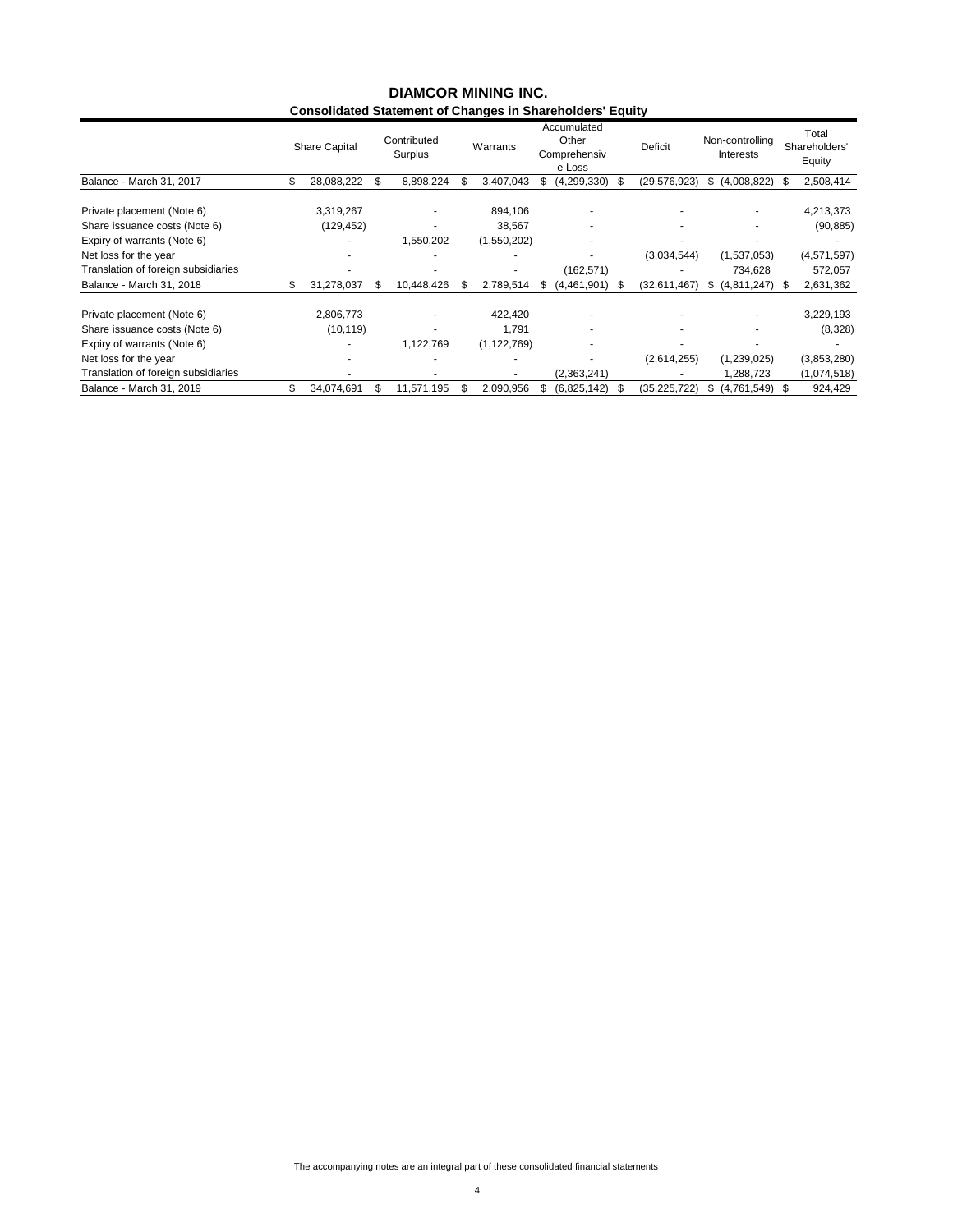| <b>DIAMCOR MINING INC.</b>                                       |
|------------------------------------------------------------------|
| <b>Consolidated Statement of Changes in Shareholders' Equity</b> |

|                                     | <b>Share Capital</b> | Contributed<br>Surplus | Warrants        | Accumulated<br>Other<br>Comprehensiv<br>e Loss |      | Deficit        | Non-controlling<br>Interests | Total<br>Shareholders'<br>Equity |
|-------------------------------------|----------------------|------------------------|-----------------|------------------------------------------------|------|----------------|------------------------------|----------------------------------|
| Balance - March 31, 2017            | \$<br>28,088,222     | \$<br>8,898,224        | 3,407,043       | (4, 299, 330)                                  |      | (29, 576, 923) | \$<br>(4,008,822)            | 2,508,414                        |
| Private placement (Note 6)          | 3,319,267            |                        | 894,106         |                                                |      |                |                              | 4,213,373                        |
| Share issuance costs (Note 6)       | (129, 452)           |                        | 38,567          |                                                |      |                |                              | (90, 885)                        |
| Expiry of warrants (Note 6)         |                      | 1,550,202              | (1,550,202)     |                                                |      |                |                              |                                  |
| Net loss for the year               |                      |                        |                 |                                                |      | (3,034,544)    | (1,537,053)                  | (4,571,597)                      |
| Translation of foreign subsidiaries |                      |                        |                 | (162, 571)                                     |      |                | 734,628                      | 572,057                          |
| Balance - March 31, 2018            | \$<br>31,278,037     | 10,448,426             | 2,789,514       | \$<br>(4,461,901)                              | \$   | (32,611,467)   | \$ (4,811,247)               | 2,631,362                        |
| Private placement (Note 6)          | 2,806,773            |                        | 422,420         |                                                |      |                |                              | 3,229,193                        |
| Share issuance costs (Note 6)       | (10, 119)            |                        | 1.791           |                                                |      |                |                              | (8,328)                          |
| Expiry of warrants (Note 6)         |                      | 1,122,769              | (1, 122, 769)   |                                                |      |                |                              |                                  |
| Net loss for the year               |                      |                        |                 |                                                |      | (2,614,255)    | (1,239,025)                  | (3,853,280)                      |
| Translation of foreign subsidiaries |                      |                        |                 | (2,363,241)                                    |      |                | 1,288,723                    | (1,074,518)                      |
| Balance - March 31, 2019            | \$<br>34,074,691     | 11,571,195             | \$<br>2,090,956 | (6,825,142)                                    | - \$ | (35, 225, 722) | $(4,761,549)$ \$<br>\$       | 924,429                          |

The accompanying notes are an integral part of these consolidated financial statements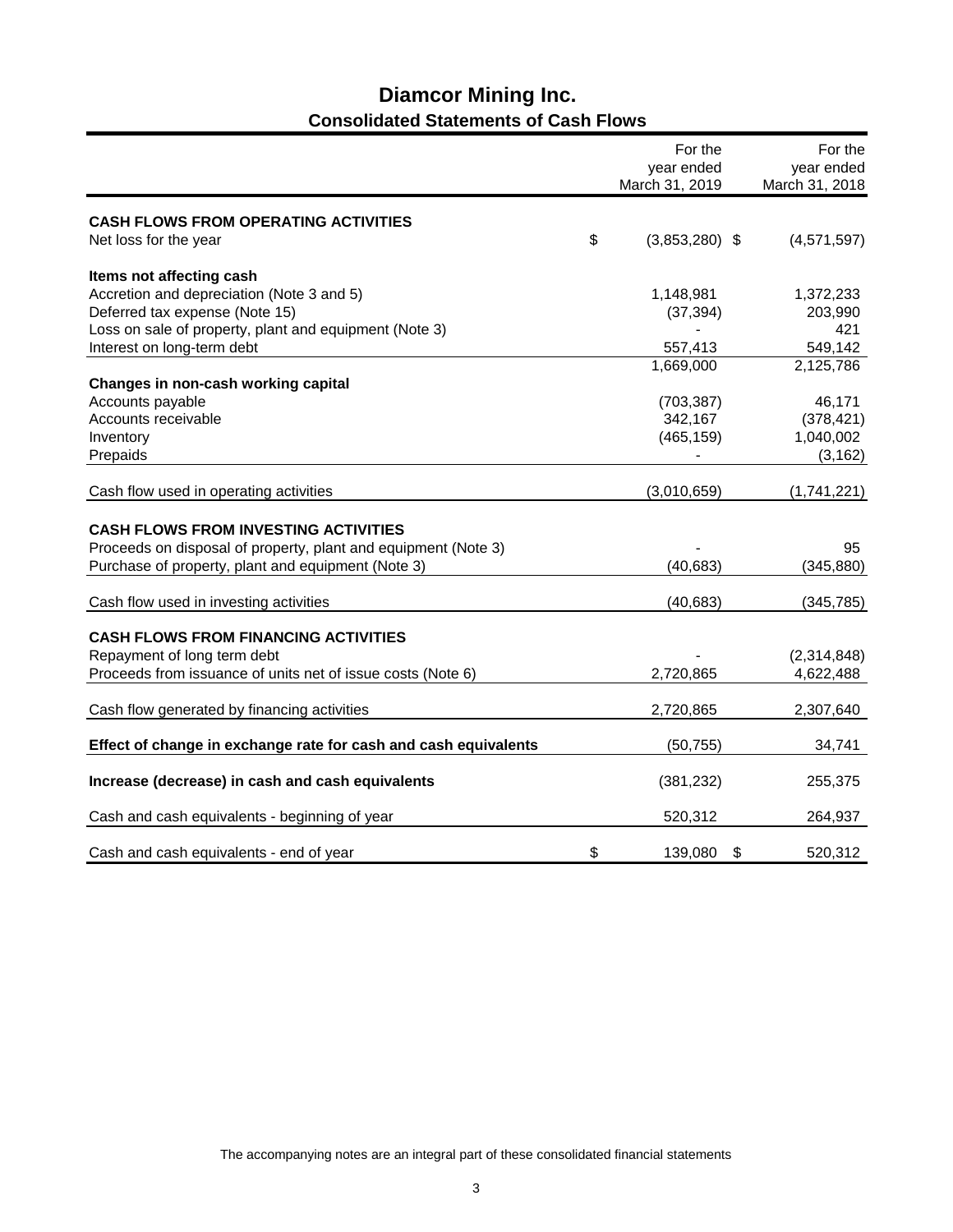# **Diamcor Mining Inc. Consolidated Statements of Cash Flows**

|                                                                 | For the                | For the        |
|-----------------------------------------------------------------|------------------------|----------------|
|                                                                 | year ended             | year ended     |
|                                                                 | March 31, 2019         | March 31, 2018 |
| <b>CASH FLOWS FROM OPERATING ACTIVITIES</b>                     |                        |                |
| Net loss for the year                                           | \$<br>$(3,853,280)$ \$ | (4,571,597)    |
|                                                                 |                        |                |
| Items not affecting cash                                        |                        |                |
| Accretion and depreciation (Note 3 and 5)                       | 1,148,981              | 1,372,233      |
| Deferred tax expense (Note 15)                                  | (37, 394)              | 203,990        |
| Loss on sale of property, plant and equipment (Note 3)          |                        | 421            |
| Interest on long-term debt                                      | 557,413                | 549,142        |
|                                                                 | 1,669,000              | 2,125,786      |
| Changes in non-cash working capital                             |                        |                |
| Accounts payable                                                | (703, 387)             | 46,171         |
| Accounts receivable                                             | 342,167                | (378, 421)     |
| Inventory                                                       | (465, 159)             | 1,040,002      |
| Prepaids                                                        |                        | (3, 162)       |
|                                                                 |                        |                |
| Cash flow used in operating activities                          | (3,010,659)            | (1,741,221)    |
|                                                                 |                        |                |
| <b>CASH FLOWS FROM INVESTING ACTIVITIES</b>                     |                        |                |
| Proceeds on disposal of property, plant and equipment (Note 3)  |                        | 95             |
| Purchase of property, plant and equipment (Note 3)              | (40, 683)              | (345, 880)     |
| Cash flow used in investing activities                          | (40, 683)              | (345, 785)     |
|                                                                 |                        |                |
| <b>CASH FLOWS FROM FINANCING ACTIVITIES</b>                     |                        |                |
| Repayment of long term debt                                     |                        | (2,314,848)    |
| Proceeds from issuance of units net of issue costs (Note 6)     | 2,720,865              | 4,622,488      |
| Cash flow generated by financing activities                     | 2,720,865              | 2,307,640      |
|                                                                 |                        |                |
| Effect of change in exchange rate for cash and cash equivalents | (50, 755)              | 34,741         |
|                                                                 |                        |                |
| Increase (decrease) in cash and cash equivalents                | (381, 232)             | 255,375        |
| Cash and cash equivalents - beginning of year                   | 520,312                | 264,937        |
|                                                                 |                        |                |
| Cash and cash equivalents - end of year                         | \$<br>139,080          | \$<br>520,312  |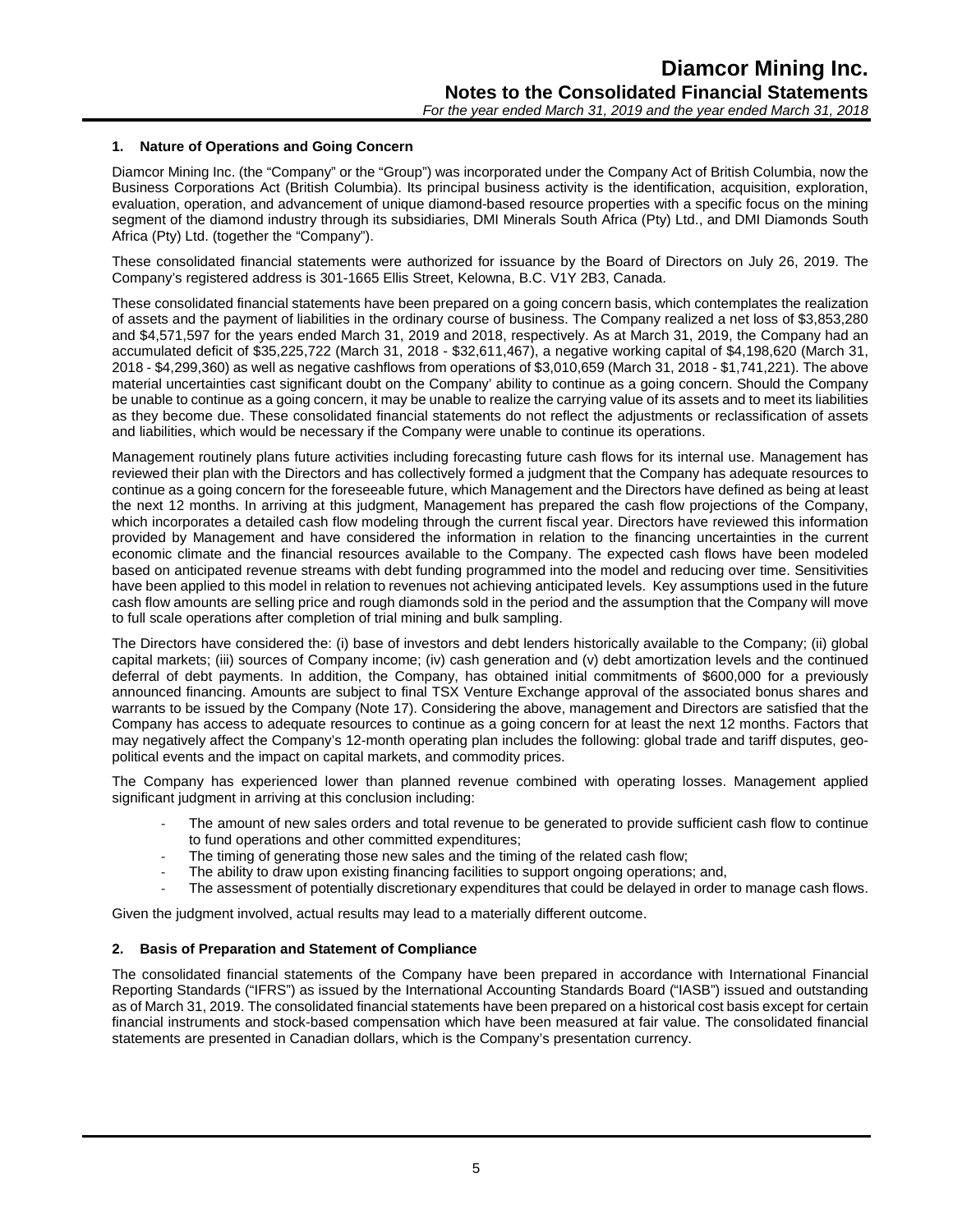# **1. Nature of Operations and Going Concern**

Diamcor Mining Inc. (the "Company" or the "Group") was incorporated under the Company Act of British Columbia, now the Business Corporations Act (British Columbia). Its principal business activity is the identification, acquisition, exploration, evaluation, operation, and advancement of unique diamond-based resource properties with a specific focus on the mining segment of the diamond industry through its subsidiaries, DMI Minerals South Africa (Pty) Ltd., and DMI Diamonds South Africa (Pty) Ltd. (together the "Company").

These consolidated financial statements were authorized for issuance by the Board of Directors on July 26, 2019. The Company's registered address is 301-1665 Ellis Street, Kelowna, B.C. V1Y 2B3, Canada.

These consolidated financial statements have been prepared on a going concern basis, which contemplates the realization of assets and the payment of liabilities in the ordinary course of business. The Company realized a net loss of \$3,853,280 and \$4,571,597 for the years ended March 31, 2019 and 2018, respectively. As at March 31, 2019, the Company had an accumulated deficit of \$35,225,722 (March 31, 2018 - \$32,611,467), a negative working capital of \$4,198,620 (March 31, 2018 - \$4,299,360) as well as negative cashflows from operations of \$3,010,659 (March 31, 2018 - \$1,741,221). The above material uncertainties cast significant doubt on the Company' ability to continue as a going concern. Should the Company be unable to continue as a going concern, it may be unable to realize the carrying value of its assets and to meet its liabilities as they become due. These consolidated financial statements do not reflect the adjustments or reclassification of assets and liabilities, which would be necessary if the Company were unable to continue its operations.

Management routinely plans future activities including forecasting future cash flows for its internal use. Management has reviewed their plan with the Directors and has collectively formed a judgment that the Company has adequate resources to continue as a going concern for the foreseeable future, which Management and the Directors have defined as being at least the next 12 months. In arriving at this judgment, Management has prepared the cash flow projections of the Company, which incorporates a detailed cash flow modeling through the current fiscal year. Directors have reviewed this information provided by Management and have considered the information in relation to the financing uncertainties in the current economic climate and the financial resources available to the Company. The expected cash flows have been modeled based on anticipated revenue streams with debt funding programmed into the model and reducing over time. Sensitivities have been applied to this model in relation to revenues not achieving anticipated levels. Key assumptions used in the future cash flow amounts are selling price and rough diamonds sold in the period and the assumption that the Company will move to full scale operations after completion of trial mining and bulk sampling.

The Directors have considered the: (i) base of investors and debt lenders historically available to the Company; (ii) global capital markets; (iii) sources of Company income; (iv) cash generation and (v) debt amortization levels and the continued deferral of debt payments. In addition, the Company, has obtained initial commitments of \$600,000 for a previously announced financing. Amounts are subject to final TSX Venture Exchange approval of the associated bonus shares and warrants to be issued by the Company (Note 17). Considering the above, management and Directors are satisfied that the Company has access to adequate resources to continue as a going concern for at least the next 12 months. Factors that may negatively affect the Company's 12-month operating plan includes the following: global trade and tariff disputes, geopolitical events and the impact on capital markets, and commodity prices.

The Company has experienced lower than planned revenue combined with operating losses. Management applied significant judgment in arriving at this conclusion including:

- The amount of new sales orders and total revenue to be generated to provide sufficient cash flow to continue to fund operations and other committed expenditures;
- The timing of generating those new sales and the timing of the related cash flow;
- The ability to draw upon existing financing facilities to support ongoing operations; and,
- The assessment of potentially discretionary expenditures that could be delayed in order to manage cash flows.

Given the judgment involved, actual results may lead to a materially different outcome.

# **2. Basis of Preparation and Statement of Compliance**

The consolidated financial statements of the Company have been prepared in accordance with International Financial Reporting Standards ("IFRS") as issued by the International Accounting Standards Board ("IASB") issued and outstanding as of March 31, 2019. The consolidated financial statements have been prepared on a historical cost basis except for certain financial instruments and stock-based compensation which have been measured at fair value. The consolidated financial statements are presented in Canadian dollars, which is the Company's presentation currency.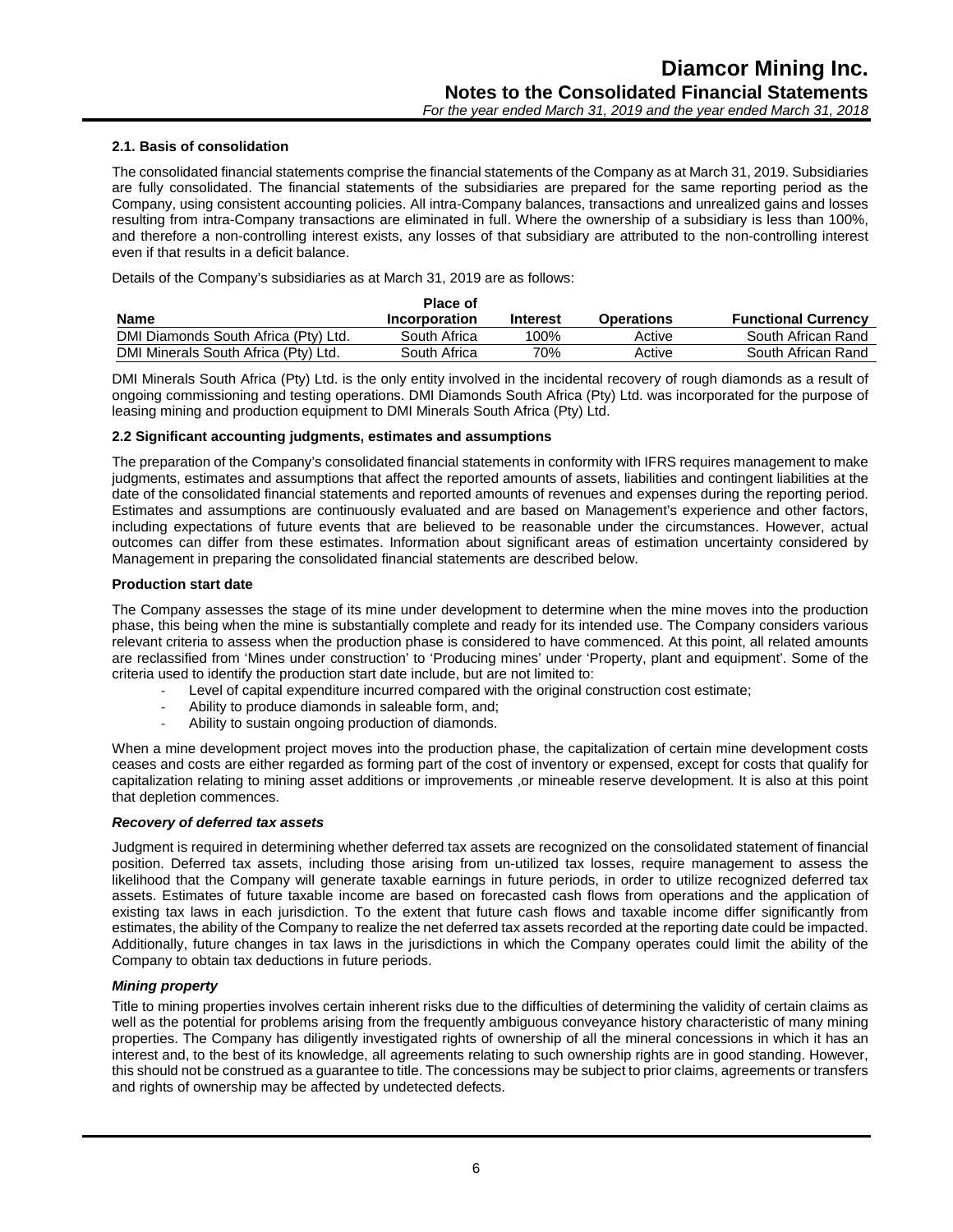# **2.1. Basis of consolidation**

The consolidated financial statements comprise the financial statements of the Company as at March 31, 2019. Subsidiaries are fully consolidated. The financial statements of the subsidiaries are prepared for the same reporting period as the Company, using consistent accounting policies. All intra-Company balances, transactions and unrealized gains and losses resulting from intra-Company transactions are eliminated in full. Where the ownership of a subsidiary is less than 100%, and therefore a non-controlling interest exists, any losses of that subsidiary are attributed to the non-controlling interest even if that results in a deficit balance.

Details of the Company's subsidiaries as at March 31, 2019 are as follows:

|                                      | <b>Place of</b> |                 |                   |                            |
|--------------------------------------|-----------------|-----------------|-------------------|----------------------------|
| <b>Name</b>                          | Incorporation   | <b>Interest</b> | <b>Operations</b> | <b>Functional Currency</b> |
| DMI Diamonds South Africa (Pty) Ltd. | South Africa    | 100%            | Active            | South African Rand         |
| DMI Minerals South Africa (Pty) Ltd. | South Africa    | 70%             | Active            | South African Rand         |

DMI Minerals South Africa (Pty) Ltd. is the only entity involved in the incidental recovery of rough diamonds as a result of ongoing commissioning and testing operations. DMI Diamonds South Africa (Pty) Ltd. was incorporated for the purpose of leasing mining and production equipment to DMI Minerals South Africa (Pty) Ltd.

#### **2.2 Significant accounting judgments, estimates and assumptions**

The preparation of the Company's consolidated financial statements in conformity with IFRS requires management to make judgments, estimates and assumptions that affect the reported amounts of assets, liabilities and contingent liabilities at the date of the consolidated financial statements and reported amounts of revenues and expenses during the reporting period. Estimates and assumptions are continuously evaluated and are based on Management's experience and other factors, including expectations of future events that are believed to be reasonable under the circumstances. However, actual outcomes can differ from these estimates. Information about significant areas of estimation uncertainty considered by Management in preparing the consolidated financial statements are described below.

#### **Production start date**

The Company assesses the stage of its mine under development to determine when the mine moves into the production phase, this being when the mine is substantially complete and ready for its intended use. The Company considers various relevant criteria to assess when the production phase is considered to have commenced. At this point, all related amounts are reclassified from 'Mines under construction' to 'Producing mines' under 'Property, plant and equipment'. Some of the criteria used to identify the production start date include, but are not limited to:

- Level of capital expenditure incurred compared with the original construction cost estimate:
- Ability to produce diamonds in saleable form, and:
- Ability to sustain ongoing production of diamonds.

When a mine development project moves into the production phase, the capitalization of certain mine development costs ceases and costs are either regarded as forming part of the cost of inventory or expensed, except for costs that qualify for capitalization relating to mining asset additions or improvements ,or mineable reserve development. It is also at this point that depletion commences.

# *Recovery of deferred tax assets*

Judgment is required in determining whether deferred tax assets are recognized on the consolidated statement of financial position. Deferred tax assets, including those arising from un-utilized tax losses, require management to assess the likelihood that the Company will generate taxable earnings in future periods, in order to utilize recognized deferred tax assets. Estimates of future taxable income are based on forecasted cash flows from operations and the application of existing tax laws in each jurisdiction. To the extent that future cash flows and taxable income differ significantly from estimates, the ability of the Company to realize the net deferred tax assets recorded at the reporting date could be impacted. Additionally, future changes in tax laws in the jurisdictions in which the Company operates could limit the ability of the Company to obtain tax deductions in future periods.

# *Mining property*

Title to mining properties involves certain inherent risks due to the difficulties of determining the validity of certain claims as well as the potential for problems arising from the frequently ambiguous conveyance history characteristic of many mining properties. The Company has diligently investigated rights of ownership of all the mineral concessions in which it has an interest and, to the best of its knowledge, all agreements relating to such ownership rights are in good standing. However, this should not be construed as a guarantee to title. The concessions may be subject to prior claims, agreements or transfers and rights of ownership may be affected by undetected defects.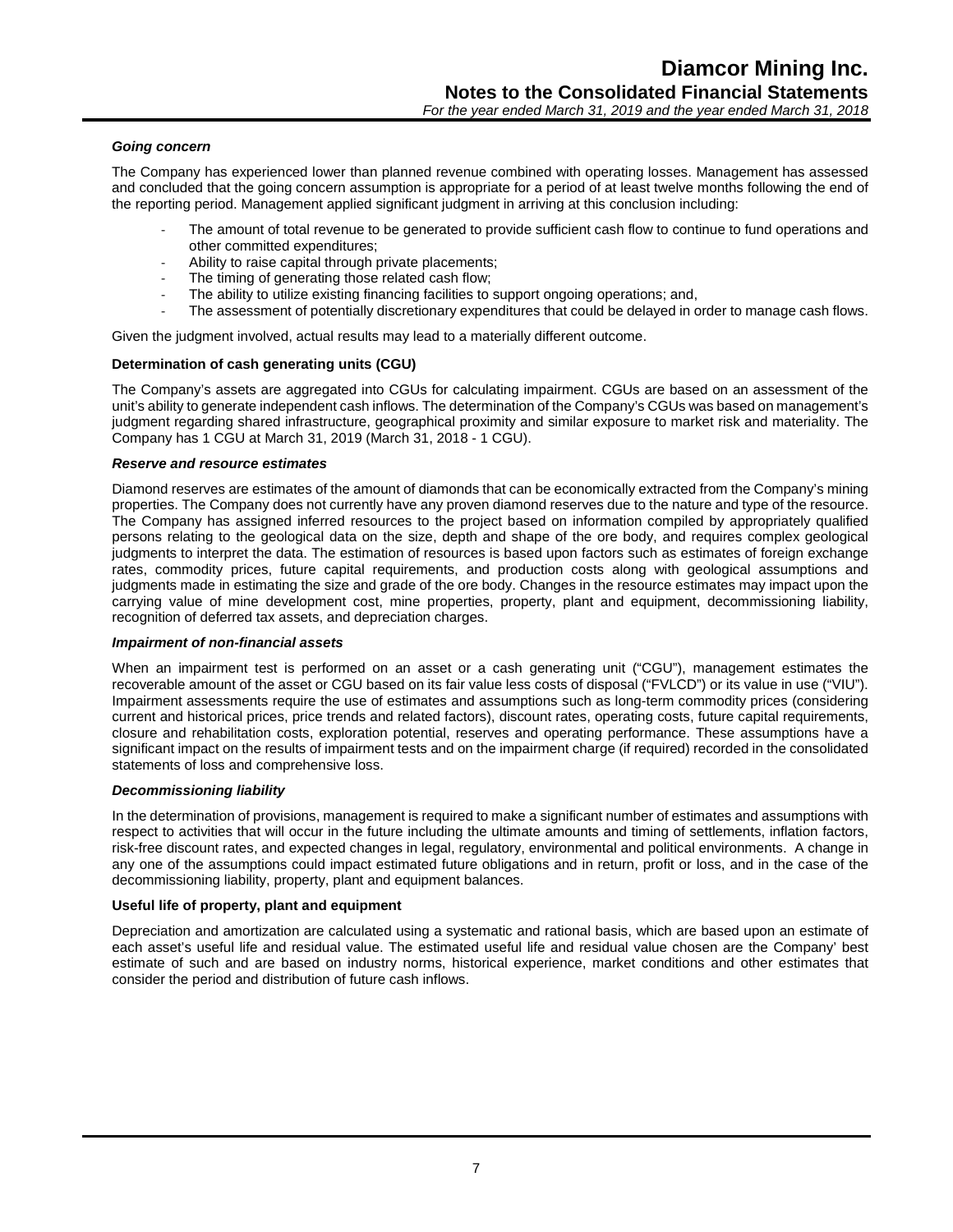# *Going concern*

The Company has experienced lower than planned revenue combined with operating losses. Management has assessed and concluded that the going concern assumption is appropriate for a period of at least twelve months following the end of the reporting period. Management applied significant judgment in arriving at this conclusion including:

- The amount of total revenue to be generated to provide sufficient cash flow to continue to fund operations and other committed expenditures;
- Ability to raise capital through private placements;
- The timing of generating those related cash flow;
- The ability to utilize existing financing facilities to support ongoing operations; and,
- The assessment of potentially discretionary expenditures that could be delayed in order to manage cash flows.

Given the judgment involved, actual results may lead to a materially different outcome.

# **Determination of cash generating units (CGU)**

The Company's assets are aggregated into CGUs for calculating impairment. CGUs are based on an assessment of the unit's ability to generate independent cash inflows. The determination of the Company's CGUs was based on management's judgment regarding shared infrastructure, geographical proximity and similar exposure to market risk and materiality. The Company has 1 CGU at March 31, 2019 (March 31, 2018 - 1 CGU).

# *Reserve and resource estimates*

Diamond reserves are estimates of the amount of diamonds that can be economically extracted from the Company's mining properties. The Company does not currently have any proven diamond reserves due to the nature and type of the resource. The Company has assigned inferred resources to the project based on information compiled by appropriately qualified persons relating to the geological data on the size, depth and shape of the ore body, and requires complex geological judgments to interpret the data. The estimation of resources is based upon factors such as estimates of foreign exchange rates, commodity prices, future capital requirements, and production costs along with geological assumptions and judgments made in estimating the size and grade of the ore body. Changes in the resource estimates may impact upon the carrying value of mine development cost, mine properties, property, plant and equipment, decommissioning liability, recognition of deferred tax assets, and depreciation charges.

# *Impairment of non-financial assets*

When an impairment test is performed on an asset or a cash generating unit ("CGU"), management estimates the recoverable amount of the asset or CGU based on its fair value less costs of disposal ("FVLCD") or its value in use ("VIU"). Impairment assessments require the use of estimates and assumptions such as long-term commodity prices (considering current and historical prices, price trends and related factors), discount rates, operating costs, future capital requirements, closure and rehabilitation costs, exploration potential, reserves and operating performance. These assumptions have a significant impact on the results of impairment tests and on the impairment charge (if required) recorded in the consolidated statements of loss and comprehensive loss.

# *Decommissioning liability*

In the determination of provisions, management is required to make a significant number of estimates and assumptions with respect to activities that will occur in the future including the ultimate amounts and timing of settlements, inflation factors, risk-free discount rates, and expected changes in legal, regulatory, environmental and political environments. A change in any one of the assumptions could impact estimated future obligations and in return, profit or loss, and in the case of the decommissioning liability, property, plant and equipment balances.

# **Useful life of property, plant and equipment**

Depreciation and amortization are calculated using a systematic and rational basis, which are based upon an estimate of each asset's useful life and residual value. The estimated useful life and residual value chosen are the Company' best estimate of such and are based on industry norms, historical experience, market conditions and other estimates that consider the period and distribution of future cash inflows.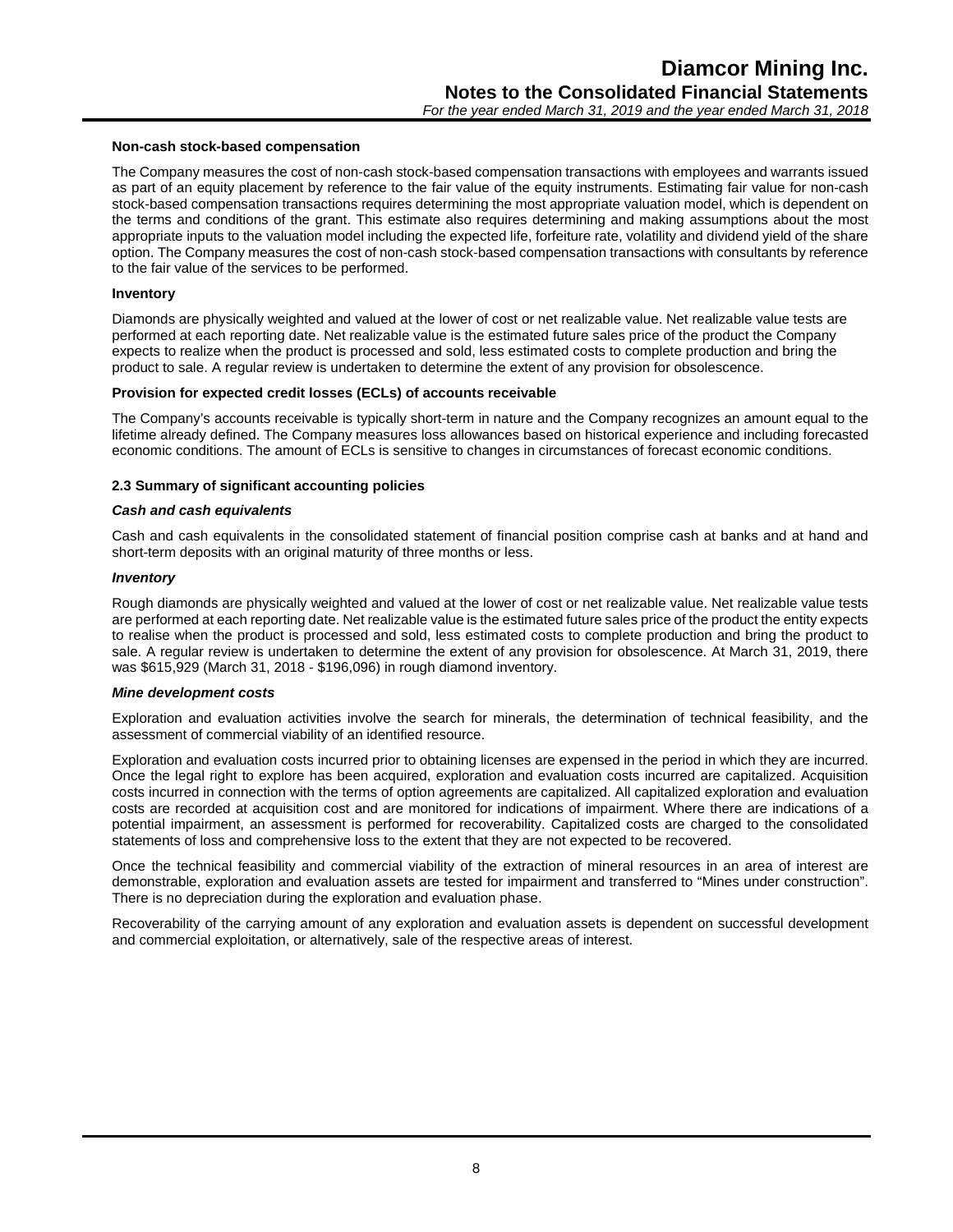#### **Non-cash stock-based compensation**

The Company measures the cost of non-cash stock-based compensation transactions with employees and warrants issued as part of an equity placement by reference to the fair value of the equity instruments. Estimating fair value for non-cash stock-based compensation transactions requires determining the most appropriate valuation model, which is dependent on the terms and conditions of the grant. This estimate also requires determining and making assumptions about the most appropriate inputs to the valuation model including the expected life, forfeiture rate, volatility and dividend yield of the share option. The Company measures the cost of non-cash stock-based compensation transactions with consultants by reference to the fair value of the services to be performed.

#### **Inventory**

Diamonds are physically weighted and valued at the lower of cost or net realizable value. Net realizable value tests are performed at each reporting date. Net realizable value is the estimated future sales price of the product the Company expects to realize when the product is processed and sold, less estimated costs to complete production and bring the product to sale. A regular review is undertaken to determine the extent of any provision for obsolescence.

#### **Provision for expected credit losses (ECLs) of accounts receivable**

The Company's accounts receivable is typically short-term in nature and the Company recognizes an amount equal to the lifetime already defined. The Company measures loss allowances based on historical experience and including forecasted economic conditions. The amount of ECLs is sensitive to changes in circumstances of forecast economic conditions.

# **2.3 Summary of significant accounting policies**

#### *Cash and cash equivalents*

Cash and cash equivalents in the consolidated statement of financial position comprise cash at banks and at hand and short-term deposits with an original maturity of three months or less.

#### *Inventory*

Rough diamonds are physically weighted and valued at the lower of cost or net realizable value. Net realizable value tests are performed at each reporting date. Net realizable value is the estimated future sales price of the product the entity expects to realise when the product is processed and sold, less estimated costs to complete production and bring the product to sale. A regular review is undertaken to determine the extent of any provision for obsolescence. At March 31, 2019, there was \$615,929 (March 31, 2018 - \$196,096) in rough diamond inventory.

#### *Mine development costs*

Exploration and evaluation activities involve the search for minerals, the determination of technical feasibility, and the assessment of commercial viability of an identified resource.

Exploration and evaluation costs incurred prior to obtaining licenses are expensed in the period in which they are incurred. Once the legal right to explore has been acquired, exploration and evaluation costs incurred are capitalized. Acquisition costs incurred in connection with the terms of option agreements are capitalized. All capitalized exploration and evaluation costs are recorded at acquisition cost and are monitored for indications of impairment. Where there are indications of a potential impairment, an assessment is performed for recoverability. Capitalized costs are charged to the consolidated statements of loss and comprehensive loss to the extent that they are not expected to be recovered.

Once the technical feasibility and commercial viability of the extraction of mineral resources in an area of interest are demonstrable, exploration and evaluation assets are tested for impairment and transferred to "Mines under construction". There is no depreciation during the exploration and evaluation phase.

Recoverability of the carrying amount of any exploration and evaluation assets is dependent on successful development and commercial exploitation, or alternatively, sale of the respective areas of interest.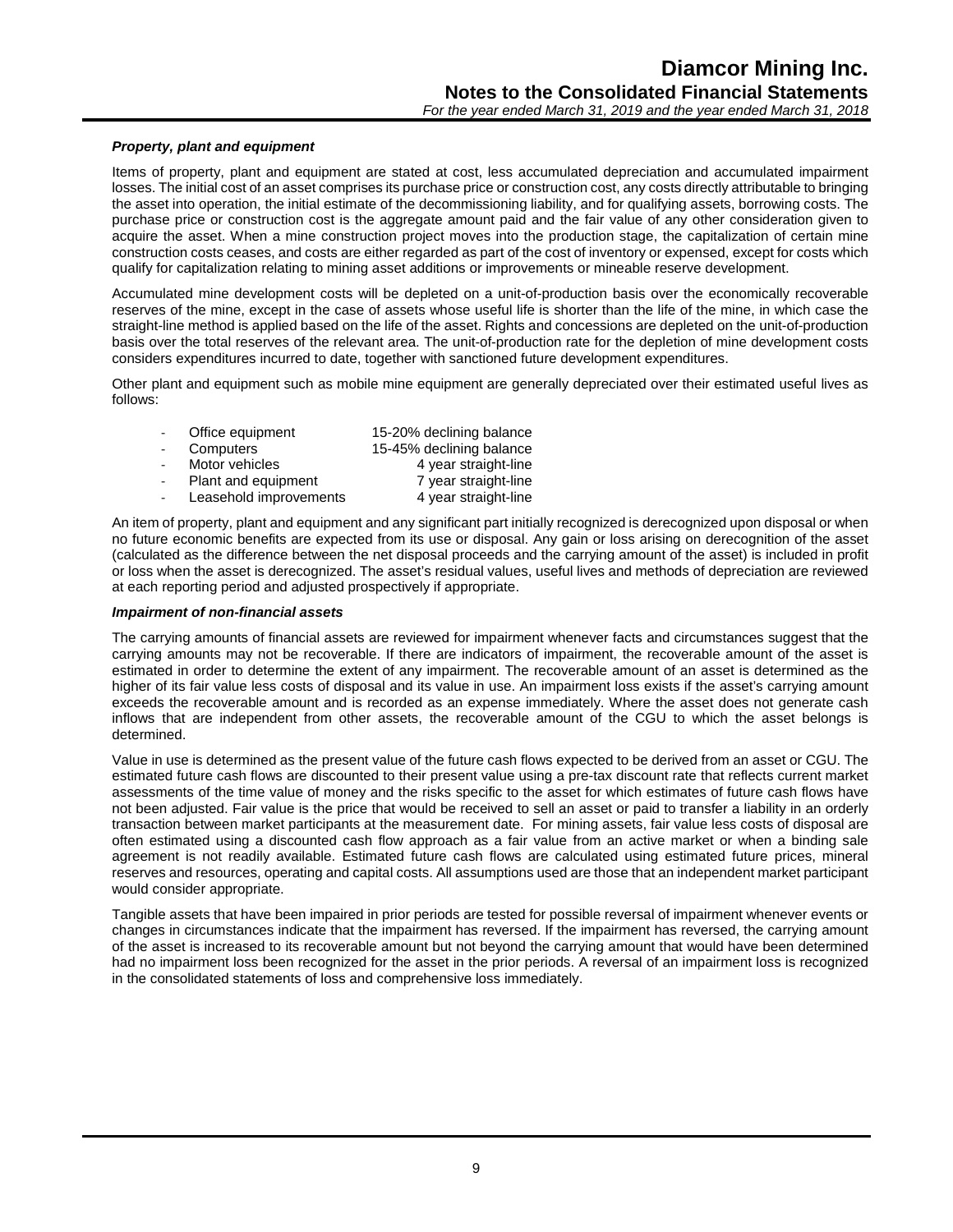# *Property, plant and equipment*

Items of property, plant and equipment are stated at cost, less accumulated depreciation and accumulated impairment losses. The initial cost of an asset comprises its purchase price or construction cost, any costs directly attributable to bringing the asset into operation, the initial estimate of the decommissioning liability, and for qualifying assets, borrowing costs. The purchase price or construction cost is the aggregate amount paid and the fair value of any other consideration given to acquire the asset. When a mine construction project moves into the production stage, the capitalization of certain mine construction costs ceases, and costs are either regarded as part of the cost of inventory or expensed, except for costs which qualify for capitalization relating to mining asset additions or improvements or mineable reserve development.

Accumulated mine development costs will be depleted on a unit-of-production basis over the economically recoverable reserves of the mine, except in the case of assets whose useful life is shorter than the life of the mine, in which case the straight-line method is applied based on the life of the asset. Rights and concessions are depleted on the unit-of-production basis over the total reserves of the relevant area. The unit-of-production rate for the depletion of mine development costs considers expenditures incurred to date, together with sanctioned future development expenditures.

Other plant and equipment such as mobile mine equipment are generally depreciated over their estimated useful lives as follows:

|        | Office equipment       | 15-20% declining balance |
|--------|------------------------|--------------------------|
|        | Computers              | 15-45% declining balance |
| $\sim$ | Motor vehicles         | 4 year straight-line     |
|        | Plant and equipment    | 7 year straight-line     |
|        | Leasehold improvements | 4 year straight-line     |

An item of property, plant and equipment and any significant part initially recognized is derecognized upon disposal or when no future economic benefits are expected from its use or disposal. Any gain or loss arising on derecognition of the asset (calculated as the difference between the net disposal proceeds and the carrying amount of the asset) is included in profit or loss when the asset is derecognized. The asset's residual values, useful lives and methods of depreciation are reviewed at each reporting period and adjusted prospectively if appropriate.

#### *Impairment of non-financial assets*

The carrying amounts of financial assets are reviewed for impairment whenever facts and circumstances suggest that the carrying amounts may not be recoverable. If there are indicators of impairment, the recoverable amount of the asset is estimated in order to determine the extent of any impairment. The recoverable amount of an asset is determined as the higher of its fair value less costs of disposal and its value in use. An impairment loss exists if the asset's carrying amount exceeds the recoverable amount and is recorded as an expense immediately. Where the asset does not generate cash inflows that are independent from other assets, the recoverable amount of the CGU to which the asset belongs is determined.

Value in use is determined as the present value of the future cash flows expected to be derived from an asset or CGU. The estimated future cash flows are discounted to their present value using a pre-tax discount rate that reflects current market assessments of the time value of money and the risks specific to the asset for which estimates of future cash flows have not been adjusted. Fair value is the price that would be received to sell an asset or paid to transfer a liability in an orderly transaction between market participants at the measurement date. For mining assets, fair value less costs of disposal are often estimated using a discounted cash flow approach as a fair value from an active market or when a binding sale agreement is not readily available. Estimated future cash flows are calculated using estimated future prices, mineral reserves and resources, operating and capital costs. All assumptions used are those that an independent market participant would consider appropriate.

Tangible assets that have been impaired in prior periods are tested for possible reversal of impairment whenever events or changes in circumstances indicate that the impairment has reversed. If the impairment has reversed, the carrying amount of the asset is increased to its recoverable amount but not beyond the carrying amount that would have been determined had no impairment loss been recognized for the asset in the prior periods. A reversal of an impairment loss is recognized in the consolidated statements of loss and comprehensive loss immediately.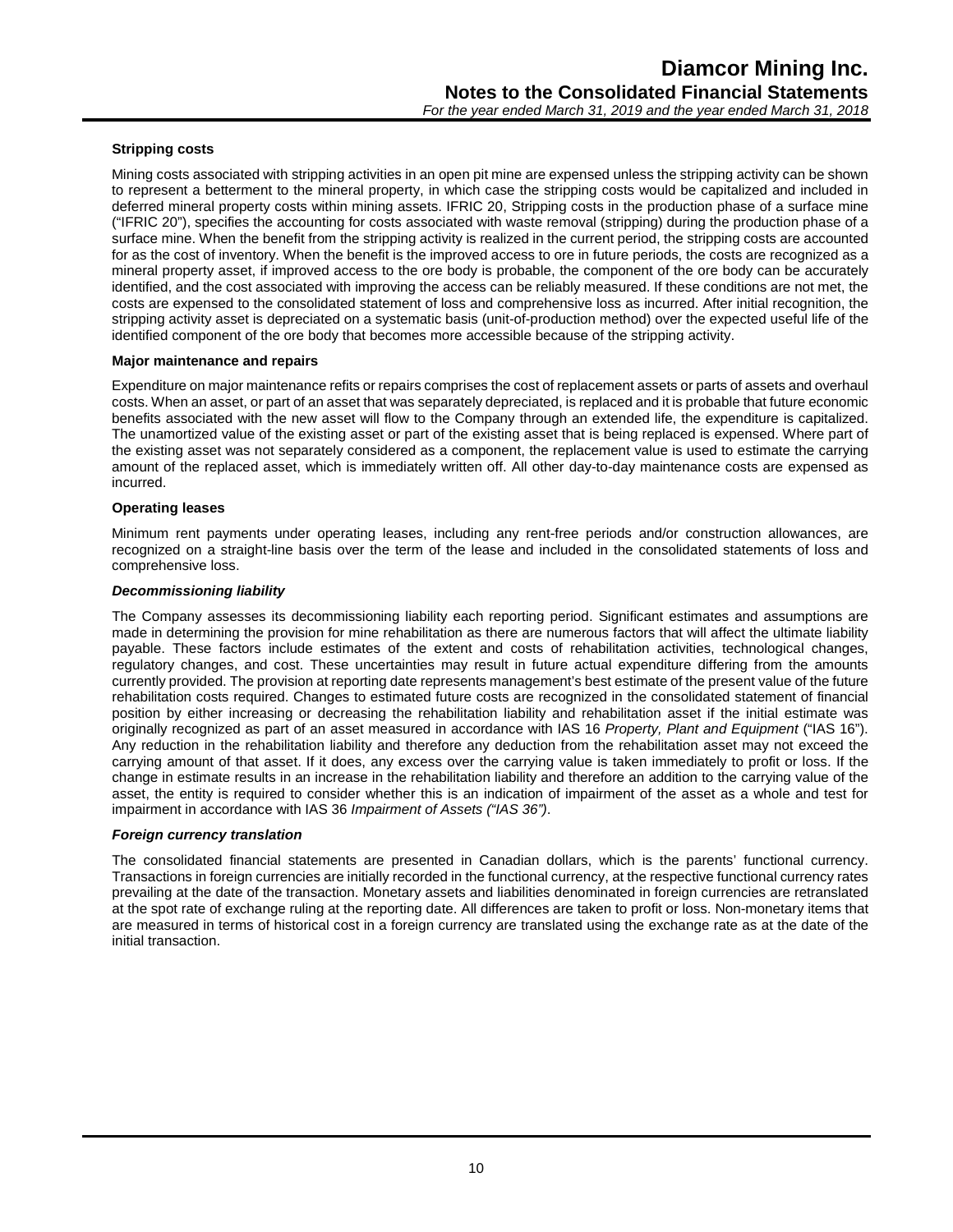# **Stripping costs**

Mining costs associated with stripping activities in an open pit mine are expensed unless the stripping activity can be shown to represent a betterment to the mineral property, in which case the stripping costs would be capitalized and included in deferred mineral property costs within mining assets. IFRIC 20, Stripping costs in the production phase of a surface mine ("IFRIC 20"), specifies the accounting for costs associated with waste removal (stripping) during the production phase of a surface mine. When the benefit from the stripping activity is realized in the current period, the stripping costs are accounted for as the cost of inventory. When the benefit is the improved access to ore in future periods, the costs are recognized as a mineral property asset, if improved access to the ore body is probable, the component of the ore body can be accurately identified, and the cost associated with improving the access can be reliably measured. If these conditions are not met, the costs are expensed to the consolidated statement of loss and comprehensive loss as incurred. After initial recognition, the stripping activity asset is depreciated on a systematic basis (unit-of-production method) over the expected useful life of the identified component of the ore body that becomes more accessible because of the stripping activity.

# **Major maintenance and repairs**

Expenditure on major maintenance refits or repairs comprises the cost of replacement assets or parts of assets and overhaul costs. When an asset, or part of an asset that was separately depreciated, is replaced and it is probable that future economic benefits associated with the new asset will flow to the Company through an extended life, the expenditure is capitalized. The unamortized value of the existing asset or part of the existing asset that is being replaced is expensed. Where part of the existing asset was not separately considered as a component, the replacement value is used to estimate the carrying amount of the replaced asset, which is immediately written off. All other day-to-day maintenance costs are expensed as incurred.

#### **Operating leases**

Minimum rent payments under operating leases, including any rent-free periods and/or construction allowances, are recognized on a straight-line basis over the term of the lease and included in the consolidated statements of loss and comprehensive loss.

#### *Decommissioning liability*

The Company assesses its decommissioning liability each reporting period. Significant estimates and assumptions are made in determining the provision for mine rehabilitation as there are numerous factors that will affect the ultimate liability payable. These factors include estimates of the extent and costs of rehabilitation activities, technological changes, regulatory changes, and cost. These uncertainties may result in future actual expenditure differing from the amounts currently provided. The provision at reporting date represents management's best estimate of the present value of the future rehabilitation costs required. Changes to estimated future costs are recognized in the consolidated statement of financial position by either increasing or decreasing the rehabilitation liability and rehabilitation asset if the initial estimate was originally recognized as part of an asset measured in accordance with IAS 16 *Property, Plant and Equipment* ("IAS 16"). Any reduction in the rehabilitation liability and therefore any deduction from the rehabilitation asset may not exceed the carrying amount of that asset. If it does, any excess over the carrying value is taken immediately to profit or loss. If the change in estimate results in an increase in the rehabilitation liability and therefore an addition to the carrying value of the asset, the entity is required to consider whether this is an indication of impairment of the asset as a whole and test for impairment in accordance with IAS 36 *Impairment of Assets ("IAS 36")*.

# *Foreign currency translation*

The consolidated financial statements are presented in Canadian dollars, which is the parents' functional currency. Transactions in foreign currencies are initially recorded in the functional currency, at the respective functional currency rates prevailing at the date of the transaction. Monetary assets and liabilities denominated in foreign currencies are retranslated at the spot rate of exchange ruling at the reporting date. All differences are taken to profit or loss. Non-monetary items that are measured in terms of historical cost in a foreign currency are translated using the exchange rate as at the date of the initial transaction.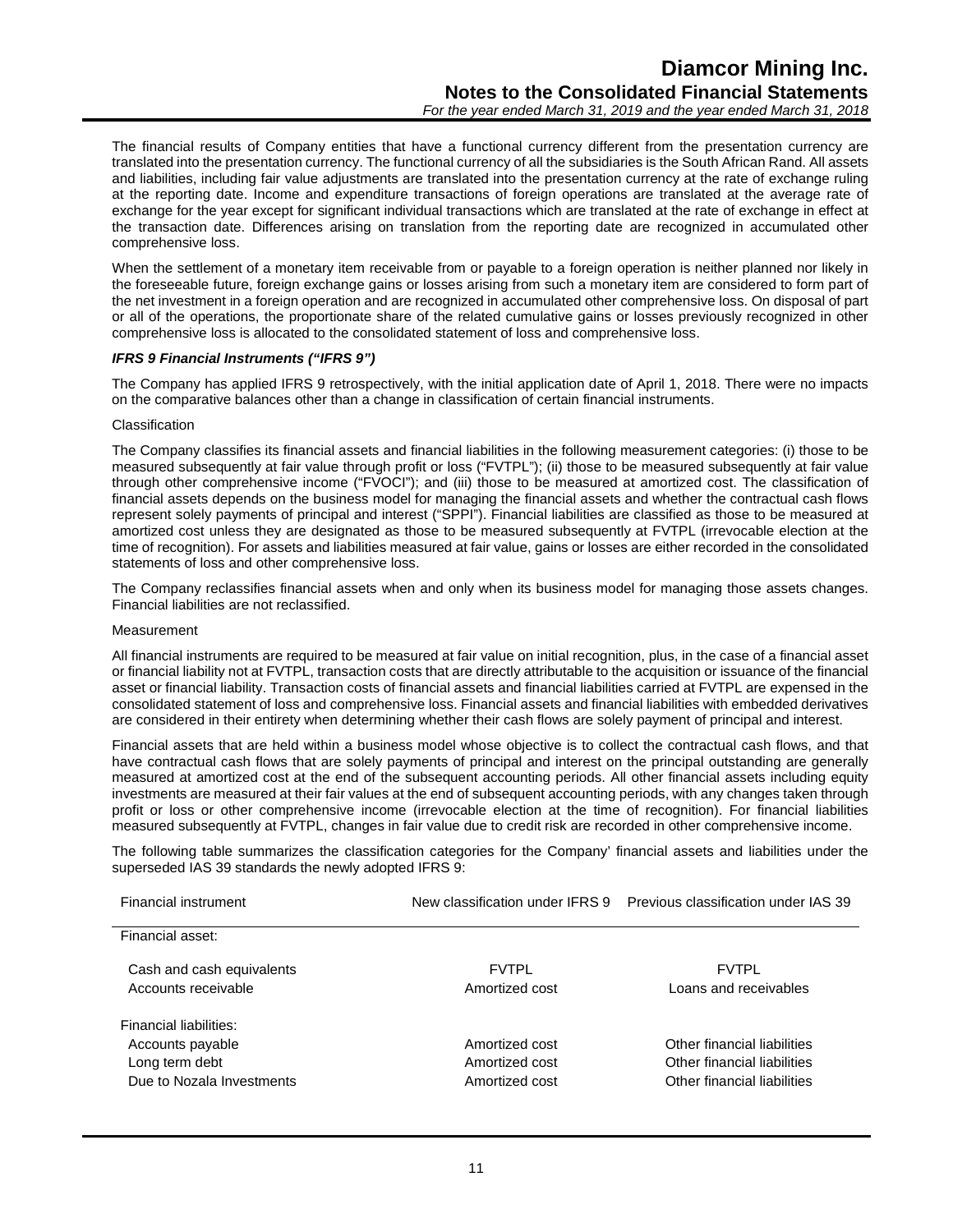The financial results of Company entities that have a functional currency different from the presentation currency are translated into the presentation currency. The functional currency of all the subsidiaries is the South African Rand. All assets and liabilities, including fair value adjustments are translated into the presentation currency at the rate of exchange ruling at the reporting date. Income and expenditure transactions of foreign operations are translated at the average rate of exchange for the year except for significant individual transactions which are translated at the rate of exchange in effect at the transaction date. Differences arising on translation from the reporting date are recognized in accumulated other comprehensive loss.

When the settlement of a monetary item receivable from or payable to a foreign operation is neither planned nor likely in the foreseeable future, foreign exchange gains or losses arising from such a monetary item are considered to form part of the net investment in a foreign operation and are recognized in accumulated other comprehensive loss. On disposal of part or all of the operations, the proportionate share of the related cumulative gains or losses previously recognized in other comprehensive loss is allocated to the consolidated statement of loss and comprehensive loss.

#### *IFRS 9 Financial Instruments ("IFRS 9")*

The Company has applied IFRS 9 retrospectively, with the initial application date of April 1, 2018. There were no impacts on the comparative balances other than a change in classification of certain financial instruments.

#### Classification

The Company classifies its financial assets and financial liabilities in the following measurement categories: (i) those to be measured subsequently at fair value through profit or loss ("FVTPL"); (ii) those to be measured subsequently at fair value through other comprehensive income ("FVOCI"); and (iii) those to be measured at amortized cost. The classification of financial assets depends on the business model for managing the financial assets and whether the contractual cash flows represent solely payments of principal and interest ("SPPI"). Financial liabilities are classified as those to be measured at amortized cost unless they are designated as those to be measured subsequently at FVTPL (irrevocable election at the time of recognition). For assets and liabilities measured at fair value, gains or losses are either recorded in the consolidated statements of loss and other comprehensive loss.

The Company reclassifies financial assets when and only when its business model for managing those assets changes. Financial liabilities are not reclassified.

#### Measurement

All financial instruments are required to be measured at fair value on initial recognition, plus, in the case of a financial asset or financial liability not at FVTPL, transaction costs that are directly attributable to the acquisition or issuance of the financial asset or financial liability. Transaction costs of financial assets and financial liabilities carried at FVTPL are expensed in the consolidated statement of loss and comprehensive loss. Financial assets and financial liabilities with embedded derivatives are considered in their entirety when determining whether their cash flows are solely payment of principal and interest.

Financial assets that are held within a business model whose objective is to collect the contractual cash flows, and that have contractual cash flows that are solely payments of principal and interest on the principal outstanding are generally measured at amortized cost at the end of the subsequent accounting periods. All other financial assets including equity investments are measured at their fair values at the end of subsequent accounting periods, with any changes taken through profit or loss or other comprehensive income (irrevocable election at the time of recognition). For financial liabilities measured subsequently at FVTPL, changes in fair value due to credit risk are recorded in other comprehensive income.

The following table summarizes the classification categories for the Company' financial assets and liabilities under the superseded IAS 39 standards the newly adopted IFRS 9:

| Financial instrument                             | New classification under IFRS 9  | Previous classification under IAS 39                       |
|--------------------------------------------------|----------------------------------|------------------------------------------------------------|
| Financial asset:                                 |                                  |                                                            |
| Cash and cash equivalents<br>Accounts receivable | <b>FVTPL</b><br>Amortized cost   | <b>FVTPL</b><br>Loans and receivables                      |
| Financial liabilities:<br>Accounts payable       | Amortized cost                   | Other financial liabilities                                |
| Long term debt<br>Due to Nozala Investments      | Amortized cost<br>Amortized cost | Other financial liabilities<br>Other financial liabilities |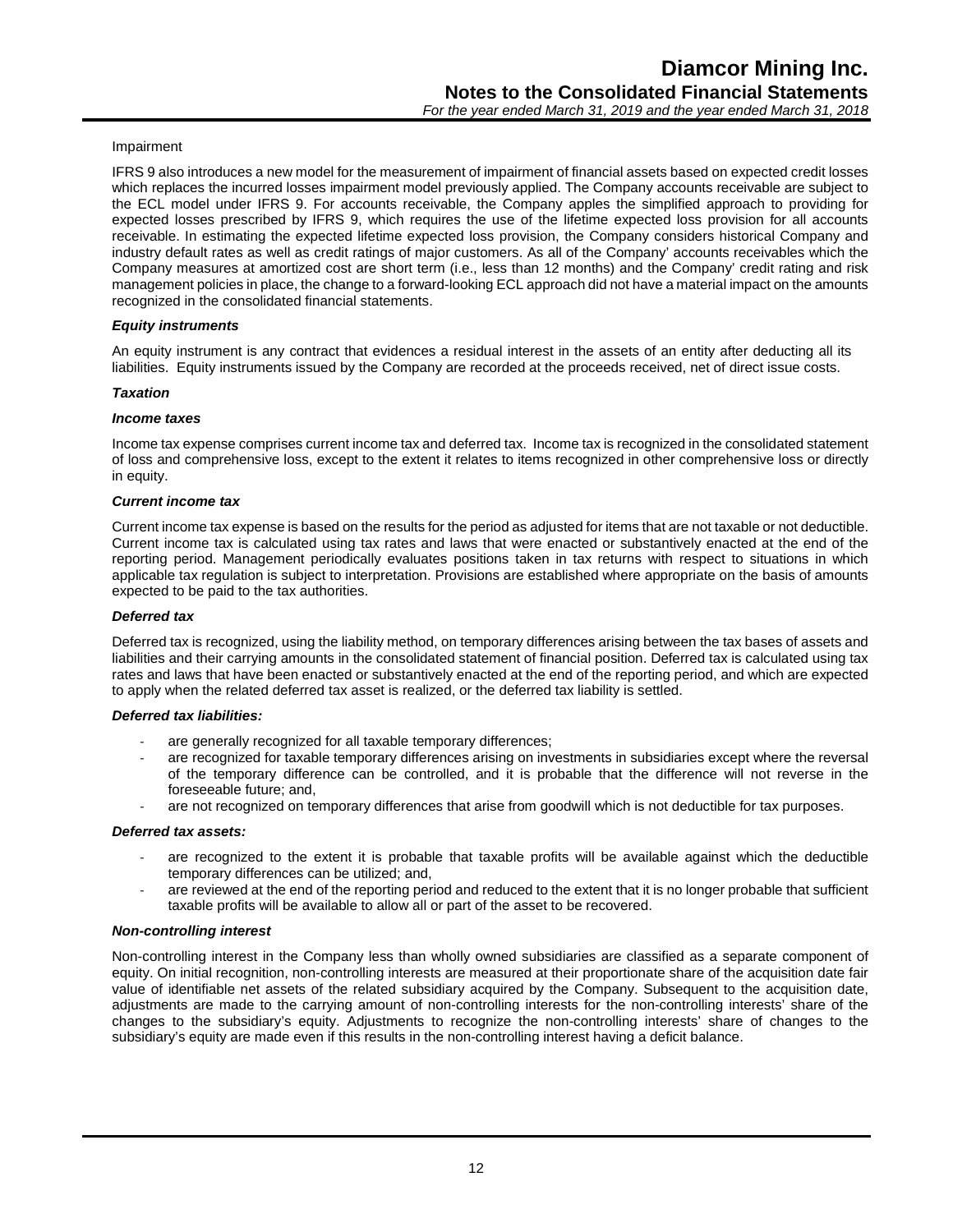# Impairment

IFRS 9 also introduces a new model for the measurement of impairment of financial assets based on expected credit losses which replaces the incurred losses impairment model previously applied. The Company accounts receivable are subject to the ECL model under IFRS 9. For accounts receivable, the Company apples the simplified approach to providing for expected losses prescribed by IFRS 9, which requires the use of the lifetime expected loss provision for all accounts receivable. In estimating the expected lifetime expected loss provision, the Company considers historical Company and industry default rates as well as credit ratings of major customers. As all of the Company' accounts receivables which the Company measures at amortized cost are short term (i.e., less than 12 months) and the Company' credit rating and risk management policies in place, the change to a forward-looking ECL approach did not have a material impact on the amounts recognized in the consolidated financial statements.

# *Equity instruments*

An equity instrument is any contract that evidences a residual interest in the assets of an entity after deducting all its liabilities. Equity instruments issued by the Company are recorded at the proceeds received, net of direct issue costs.

# *Taxation*

# *Income taxes*

Income tax expense comprises current income tax and deferred tax. Income tax is recognized in the consolidated statement of loss and comprehensive loss, except to the extent it relates to items recognized in other comprehensive loss or directly in equity.

# *Current income tax*

Current income tax expense is based on the results for the period as adjusted for items that are not taxable or not deductible. Current income tax is calculated using tax rates and laws that were enacted or substantively enacted at the end of the reporting period. Management periodically evaluates positions taken in tax returns with respect to situations in which applicable tax regulation is subject to interpretation. Provisions are established where appropriate on the basis of amounts expected to be paid to the tax authorities.

# *Deferred tax*

Deferred tax is recognized, using the liability method, on temporary differences arising between the tax bases of assets and liabilities and their carrying amounts in the consolidated statement of financial position. Deferred tax is calculated using tax rates and laws that have been enacted or substantively enacted at the end of the reporting period, and which are expected to apply when the related deferred tax asset is realized, or the deferred tax liability is settled.

# *Deferred tax liabilities:*

- are generally recognized for all taxable temporary differences;
- are recognized for taxable temporary differences arising on investments in subsidiaries except where the reversal of the temporary difference can be controlled, and it is probable that the difference will not reverse in the foreseeable future; and,
- are not recognized on temporary differences that arise from goodwill which is not deductible for tax purposes.

# *Deferred tax assets:*

- are recognized to the extent it is probable that taxable profits will be available against which the deductible temporary differences can be utilized; and,
- are reviewed at the end of the reporting period and reduced to the extent that it is no longer probable that sufficient taxable profits will be available to allow all or part of the asset to be recovered.

# *Non-controlling interest*

Non-controlling interest in the Company less than wholly owned subsidiaries are classified as a separate component of equity. On initial recognition, non-controlling interests are measured at their proportionate share of the acquisition date fair value of identifiable net assets of the related subsidiary acquired by the Company. Subsequent to the acquisition date, adjustments are made to the carrying amount of non-controlling interests for the non-controlling interests' share of the changes to the subsidiary's equity. Adjustments to recognize the non-controlling interests' share of changes to the subsidiary's equity are made even if this results in the non-controlling interest having a deficit balance.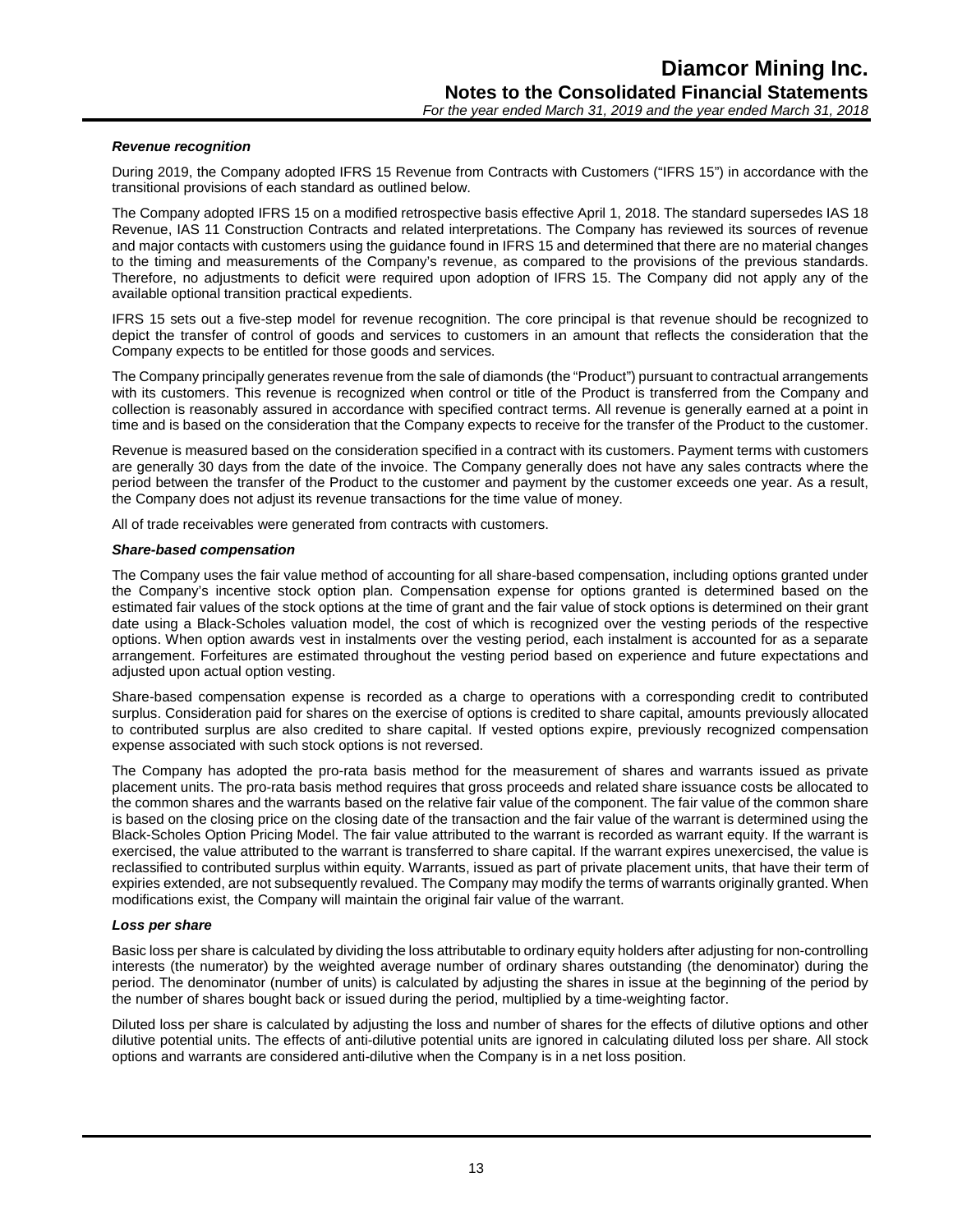## *Revenue recognition*

During 2019, the Company adopted IFRS 15 Revenue from Contracts with Customers ("IFRS 15") in accordance with the transitional provisions of each standard as outlined below.

The Company adopted IFRS 15 on a modified retrospective basis effective April 1, 2018. The standard supersedes IAS 18 Revenue, IAS 11 Construction Contracts and related interpretations. The Company has reviewed its sources of revenue and major contacts with customers using the guidance found in IFRS 15 and determined that there are no material changes to the timing and measurements of the Company's revenue, as compared to the provisions of the previous standards. Therefore, no adjustments to deficit were required upon adoption of IFRS 15. The Company did not apply any of the available optional transition practical expedients.

IFRS 15 sets out a five-step model for revenue recognition. The core principal is that revenue should be recognized to depict the transfer of control of goods and services to customers in an amount that reflects the consideration that the Company expects to be entitled for those goods and services.

The Company principally generates revenue from the sale of diamonds (the "Product") pursuant to contractual arrangements with its customers. This revenue is recognized when control or title of the Product is transferred from the Company and collection is reasonably assured in accordance with specified contract terms. All revenue is generally earned at a point in time and is based on the consideration that the Company expects to receive for the transfer of the Product to the customer.

Revenue is measured based on the consideration specified in a contract with its customers. Payment terms with customers are generally 30 days from the date of the invoice. The Company generally does not have any sales contracts where the period between the transfer of the Product to the customer and payment by the customer exceeds one year. As a result, the Company does not adjust its revenue transactions for the time value of money.

All of trade receivables were generated from contracts with customers.

#### *Share-based compensation*

The Company uses the fair value method of accounting for all share-based compensation, including options granted under the Company's incentive stock option plan. Compensation expense for options granted is determined based on the estimated fair values of the stock options at the time of grant and the fair value of stock options is determined on their grant date using a Black-Scholes valuation model, the cost of which is recognized over the vesting periods of the respective options. When option awards vest in instalments over the vesting period, each instalment is accounted for as a separate arrangement. Forfeitures are estimated throughout the vesting period based on experience and future expectations and adjusted upon actual option vesting.

Share-based compensation expense is recorded as a charge to operations with a corresponding credit to contributed surplus. Consideration paid for shares on the exercise of options is credited to share capital, amounts previously allocated to contributed surplus are also credited to share capital. If vested options expire, previously recognized compensation expense associated with such stock options is not reversed.

The Company has adopted the pro-rata basis method for the measurement of shares and warrants issued as private placement units. The pro-rata basis method requires that gross proceeds and related share issuance costs be allocated to the common shares and the warrants based on the relative fair value of the component. The fair value of the common share is based on the closing price on the closing date of the transaction and the fair value of the warrant is determined using the Black-Scholes Option Pricing Model. The fair value attributed to the warrant is recorded as warrant equity. If the warrant is exercised, the value attributed to the warrant is transferred to share capital. If the warrant expires unexercised, the value is reclassified to contributed surplus within equity. Warrants, issued as part of private placement units, that have their term of expiries extended, are not subsequently revalued. The Company may modify the terms of warrants originally granted. When modifications exist, the Company will maintain the original fair value of the warrant.

#### *Loss per share*

Basic loss per share is calculated by dividing the loss attributable to ordinary equity holders after adjusting for non-controlling interests (the numerator) by the weighted average number of ordinary shares outstanding (the denominator) during the period. The denominator (number of units) is calculated by adjusting the shares in issue at the beginning of the period by the number of shares bought back or issued during the period, multiplied by a time-weighting factor.

Diluted loss per share is calculated by adjusting the loss and number of shares for the effects of dilutive options and other dilutive potential units. The effects of anti-dilutive potential units are ignored in calculating diluted loss per share. All stock options and warrants are considered anti-dilutive when the Company is in a net loss position.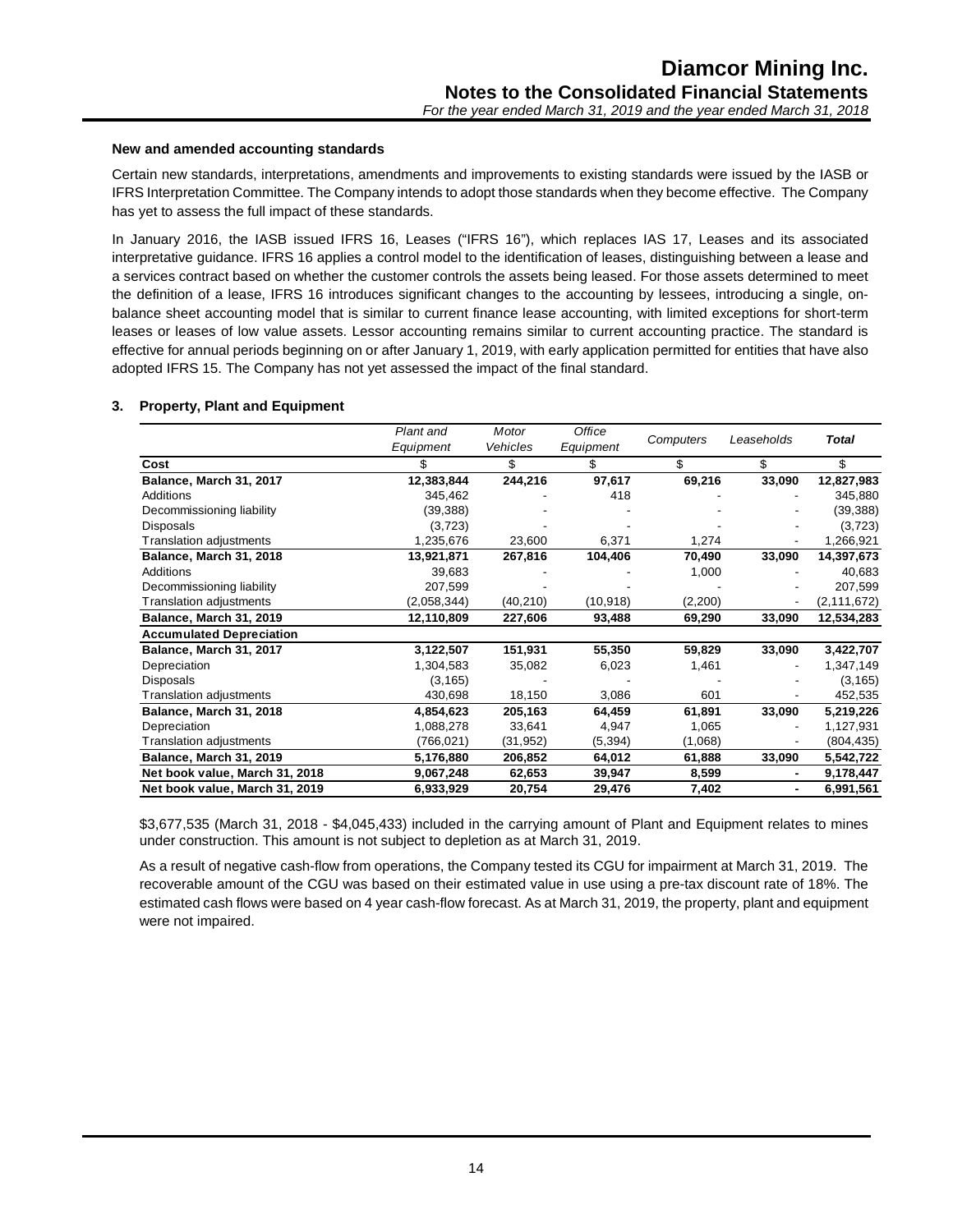#### **New and amended accounting standards**

Certain new standards, interpretations, amendments and improvements to existing standards were issued by the IASB or IFRS Interpretation Committee. The Company intends to adopt those standards when they become effective. The Company has yet to assess the full impact of these standards.

In January 2016, the IASB issued IFRS 16, Leases ("IFRS 16"), which replaces IAS 17, Leases and its associated interpretative guidance. IFRS 16 applies a control model to the identification of leases, distinguishing between a lease and a services contract based on whether the customer controls the assets being leased. For those assets determined to meet the definition of a lease, IFRS 16 introduces significant changes to the accounting by lessees, introducing a single, onbalance sheet accounting model that is similar to current finance lease accounting, with limited exceptions for short-term leases or leases of low value assets. Lessor accounting remains similar to current accounting practice. The standard is effective for annual periods beginning on or after January 1, 2019, with early application permitted for entities that have also adopted IFRS 15. The Company has not yet assessed the impact of the final standard.

#### **3. Property, Plant and Equipment**

|                                 | Plant and   | Motor     | Office    |           |            |               |  |
|---------------------------------|-------------|-----------|-----------|-----------|------------|---------------|--|
|                                 | Equipment   | Vehicles  | Equipment | Computers | Leaseholds | <b>Total</b>  |  |
| Cost                            | \$          | \$        | \$        | \$        | \$         | \$            |  |
| Balance, March 31, 2017         | 12,383,844  | 244,216   | 97,617    | 69,216    | 33,090     | 12,827,983    |  |
| Additions                       | 345,462     |           | 418       |           |            | 345,880       |  |
| Decommissioning liability       | (39, 388)   |           |           |           |            | (39, 388)     |  |
| <b>Disposals</b>                | (3,723)     |           |           |           |            | (3,723)       |  |
| <b>Translation adjustments</b>  | 1,235,676   | 23,600    | 6,371     | 1,274     |            | 1,266,921     |  |
| Balance, March 31, 2018         | 13,921,871  | 267,816   | 104,406   | 70,490    | 33,090     | 14,397,673    |  |
| <b>Additions</b>                | 39,683      |           |           | 1,000     |            | 40,683        |  |
| Decommissioning liability       | 207,599     |           |           |           |            | 207,599       |  |
| <b>Translation adjustments</b>  | (2,058,344) | (40, 210) | (10, 918) | (2,200)   |            | (2, 111, 672) |  |
| Balance, March 31, 2019         | 12,110,809  | 227,606   | 93,488    | 69,290    | 33,090     | 12,534,283    |  |
| <b>Accumulated Depreciation</b> |             |           |           |           |            |               |  |
| Balance, March 31, 2017         | 3,122,507   | 151,931   | 55,350    | 59,829    | 33,090     | 3,422,707     |  |
| Depreciation                    | 1,304,583   | 35,082    | 6,023     | 1,461     |            | 1,347,149     |  |
| Disposals                       | (3, 165)    |           |           |           |            | (3, 165)      |  |
| <b>Translation adjustments</b>  | 430,698     | 18,150    | 3,086     | 601       |            | 452,535       |  |
| Balance, March 31, 2018         | 4,854,623   | 205,163   | 64,459    | 61,891    | 33,090     | 5,219,226     |  |
| Depreciation                    | 1,088,278   | 33,641    | 4,947     | 1,065     |            | 1,127,931     |  |
| <b>Translation adjustments</b>  | (766,021)   | (31,952)  | (5, 394)  | (1,068)   |            | (804, 435)    |  |
| Balance, March 31, 2019         | 5,176,880   | 206,852   | 64,012    | 61,888    | 33,090     | 5,542,722     |  |
| Net book value, March 31, 2018  | 9,067,248   | 62,653    | 39,947    | 8,599     | ۰          | 9,178,447     |  |
| Net book value, March 31, 2019  | 6,933,929   | 20,754    | 29,476    | 7,402     | ۰          | 6,991,561     |  |

\$3,677,535 (March 31, 2018 - \$4,045,433) included in the carrying amount of Plant and Equipment relates to mines under construction. This amount is not subject to depletion as at March 31, 2019.

As a result of negative cash-flow from operations, the Company tested its CGU for impairment at March 31, 2019. The recoverable amount of the CGU was based on their estimated value in use using a pre-tax discount rate of 18%. The estimated cash flows were based on 4 year cash-flow forecast. As at March 31, 2019, the property, plant and equipment were not impaired.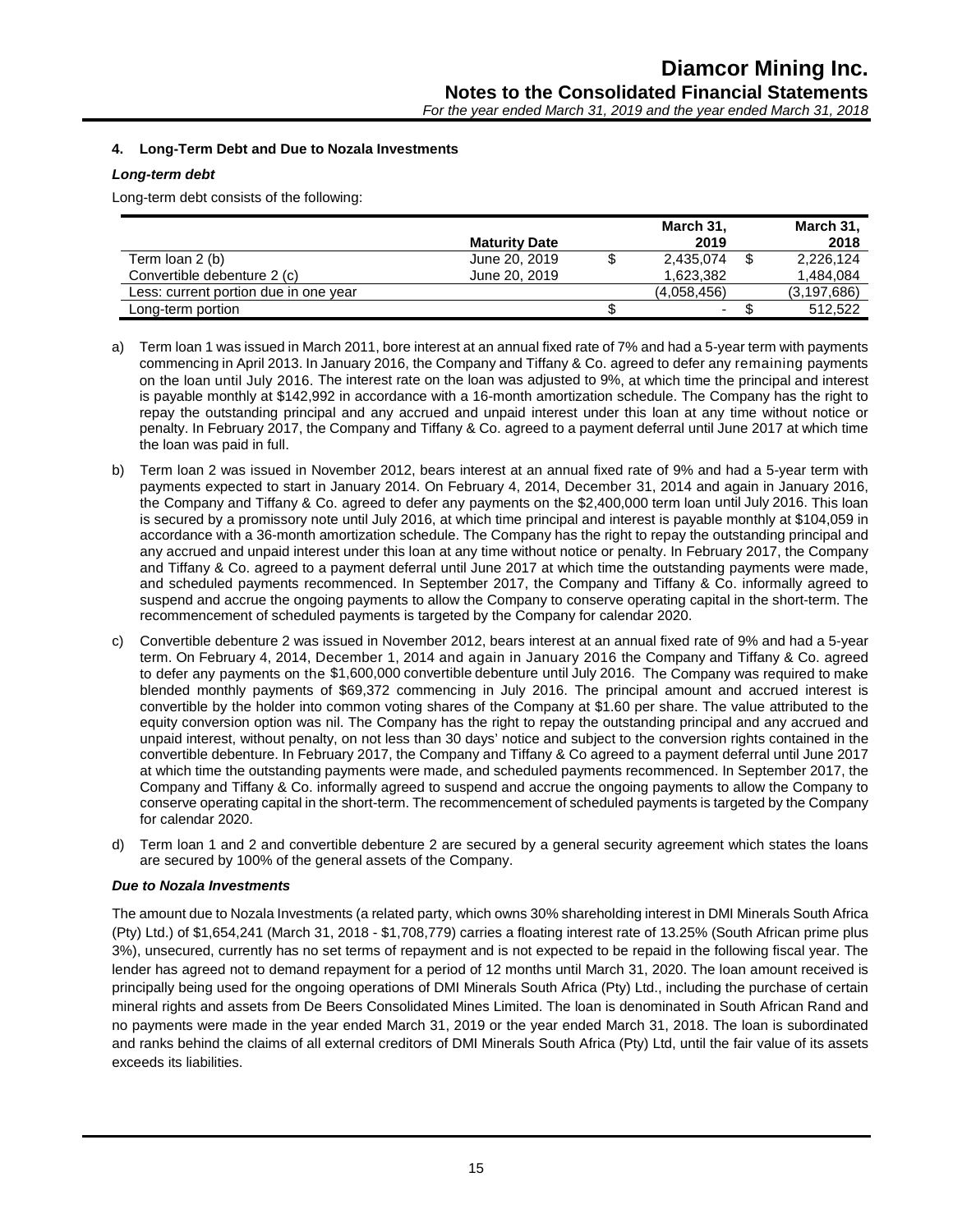# **4. Long-Term Debt and Due to Nozala Investments**

# *Long-term debt*

Long-term debt consists of the following:

|                                       |                      | March 31,   | March 31,     |
|---------------------------------------|----------------------|-------------|---------------|
|                                       | <b>Maturity Date</b> | 2019        | 2018          |
| Term loan 2 (b)                       | June 20, 2019        | 2.435.074   | 2.226.124     |
| Convertible debenture 2 (c)           | June 20, 2019        | 1.623.382   | 1,484,084     |
| Less: current portion due in one year |                      | (4,058,456) | (3, 197, 686) |
| Long-term portion                     |                      | ۰           | 512,522       |

- a) Term loan 1 was issued in March 2011, bore interest at an annual fixed rate of 7% and had a 5-year term with payments commencing in April 2013. In January 2016, the Company and Tiffany & Co. agreed to defer any remaining payments on the loan until July 2016. The interest rate on the loan was adjusted to 9%, at which time the principal and interest is payable monthly at \$142,992 in accordance with a 16-month amortization schedule. The Company has the right to repay the outstanding principal and any accrued and unpaid interest under this loan at any time without notice or penalty. In February 2017, the Company and Tiffany & Co. agreed to a payment deferral until June 2017 at which time the loan was paid in full.
- b) Term loan 2 was issued in November 2012, bears interest at an annual fixed rate of 9% and had a 5-year term with payments expected to start in January 2014. On February 4, 2014, December 31, 2014 and again in January 2016, the Company and Tiffany & Co. agreed to defer any payments on the \$2,400,000 term loan until July 2016. This loan is secured by a promissory note until July 2016, at which time principal and interest is payable monthly at \$104,059 in accordance with a 36-month amortization schedule. The Company has the right to repay the outstanding principal and any accrued and unpaid interest under this loan at any time without notice or penalty. In February 2017, the Company and Tiffany & Co. agreed to a payment deferral until June 2017 at which time the outstanding payments were made, and scheduled payments recommenced. In September 2017, the Company and Tiffany & Co. informally agreed to suspend and accrue the ongoing payments to allow the Company to conserve operating capital in the short-term. The recommencement of scheduled payments is targeted by the Company for calendar 2020.
- c) Convertible debenture 2 was issued in November 2012, bears interest at an annual fixed rate of 9% and had a 5-year term. On February 4, 2014, December 1, 2014 and again in January 2016 the Company and Tiffany & Co. agreed to defer any payments on the \$1,600,000 convertible debenture until July 2016. The Company was required to make blended monthly payments of \$69,372 commencing in July 2016. The principal amount and accrued interest is convertible by the holder into common voting shares of the Company at \$1.60 per share. The value attributed to the equity conversion option was nil. The Company has the right to repay the outstanding principal and any accrued and unpaid interest, without penalty, on not less than 30 days' notice and subject to the conversion rights contained in the convertible debenture. In February 2017, the Company and Tiffany & Co agreed to a payment deferral until June 2017 at which time the outstanding payments were made, and scheduled payments recommenced. In September 2017, the Company and Tiffany & Co. informally agreed to suspend and accrue the ongoing payments to allow the Company to conserve operating capital in the short-term. The recommencement of scheduled payments is targeted by the Company for calendar 2020.
- d) Term loan 1 and 2 and convertible debenture 2 are secured by a general security agreement which states the loans are secured by 100% of the general assets of the Company.

# *Due to Nozala Investments*

The amount due to Nozala Investments (a related party, which owns 30% shareholding interest in DMI Minerals South Africa (Pty) Ltd.) of \$1,654,241 (March 31, 2018 - \$1,708,779) carries a floating interest rate of 13.25% (South African prime plus 3%), unsecured, currently has no set terms of repayment and is not expected to be repaid in the following fiscal year. The lender has agreed not to demand repayment for a period of 12 months until March 31, 2020. The loan amount received is principally being used for the ongoing operations of DMI Minerals South Africa (Pty) Ltd., including the purchase of certain mineral rights and assets from De Beers Consolidated Mines Limited. The loan is denominated in South African Rand and no payments were made in the year ended March 31, 2019 or the year ended March 31, 2018. The loan is subordinated and ranks behind the claims of all external creditors of DMI Minerals South Africa (Pty) Ltd, until the fair value of its assets exceeds its liabilities.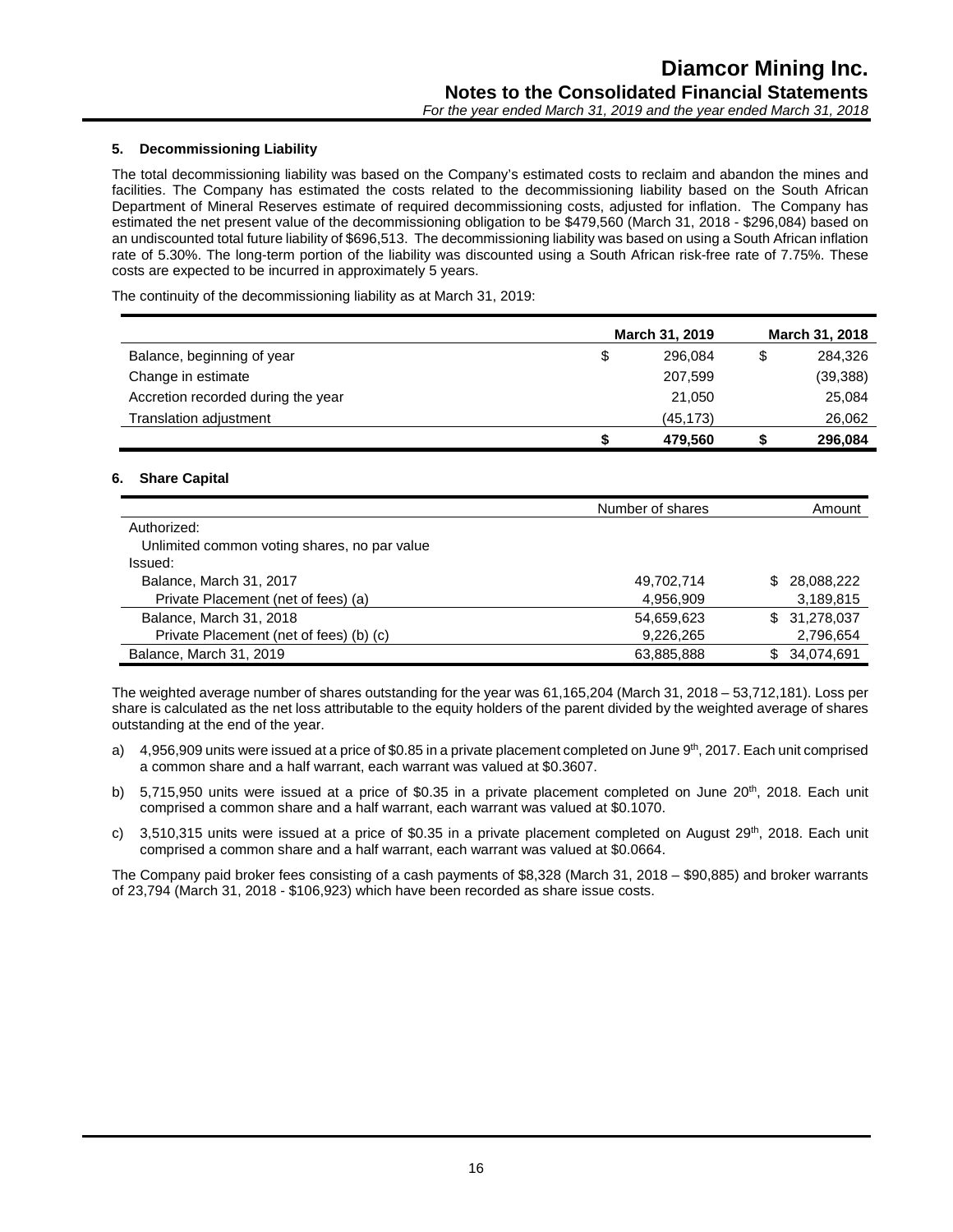# **5. Decommissioning Liability**

The total decommissioning liability was based on the Company's estimated costs to reclaim and abandon the mines and facilities. The Company has estimated the costs related to the decommissioning liability based on the South African Department of Mineral Reserves estimate of required decommissioning costs, adjusted for inflation. The Company has estimated the net present value of the decommissioning obligation to be \$479,560 (March 31, 2018 - \$296,084) based on an undiscounted total future liability of \$696,513. The decommissioning liability was based on using a South African inflation rate of 5.30%. The long-term portion of the liability was discounted using a South African risk-free rate of 7.75%. These costs are expected to be incurred in approximately 5 years.

The continuity of the decommissioning liability as at March 31, 2019:

|                                    |    | March 31, 2019 |   | March 31, 2018 |
|------------------------------------|----|----------------|---|----------------|
| Balance, beginning of year         | \$ | 296.084        | S | 284,326        |
| Change in estimate                 |    | 207,599        |   | (39, 388)      |
| Accretion recorded during the year |    | 21.050         |   | 25,084         |
| Translation adjustment             |    | (45, 173)      |   | 26,062         |
|                                    | S  | 479.560        |   | 296.084        |

# **6. Share Capital**

|                                              | Number of shares<br>Amount |                   |  |
|----------------------------------------------|----------------------------|-------------------|--|
| Authorized:                                  |                            |                   |  |
| Unlimited common voting shares, no par value |                            |                   |  |
| Issued:                                      |                            |                   |  |
| Balance, March 31, 2017                      | 49,702,714                 | 28,088,222<br>SS. |  |
| Private Placement (net of fees) (a)          | 4,956,909                  | 3,189,815         |  |
| Balance, March 31, 2018                      | 54,659,623                 | \$31,278,037      |  |
| Private Placement (net of fees) (b) (c)      | 9,226,265                  | 2,796,654         |  |
| Balance, March 31, 2019                      | 63,885,888                 | 34,074,691<br>SS. |  |

The weighted average number of shares outstanding for the year was 61,165,204 (March 31, 2018 – 53,712,181). Loss per share is calculated as the net loss attributable to the equity holders of the parent divided by the weighted average of shares outstanding at the end of the year.

- a)  $4.956,909$  units were issued at a price of \$0.85 in a private placement completed on June  $9<sup>th</sup>$ , 2017. Each unit comprised a common share and a half warrant, each warrant was valued at \$0.3607.
- b) 5,715,950 units were issued at a price of \$0.35 in a private placement completed on June  $20<sup>th</sup>$ , 2018. Each unit comprised a common share and a half warrant, each warrant was valued at \$0.1070.
- c) 3,510,315 units were issued at a price of \$0.35 in a private placement completed on August  $29<sup>th</sup>$ , 2018. Each unit comprised a common share and a half warrant, each warrant was valued at \$0.0664.

The Company paid broker fees consisting of a cash payments of \$8,328 (March 31, 2018 – \$90,885) and broker warrants of 23,794 (March 31, 2018 - \$106,923) which have been recorded as share issue costs.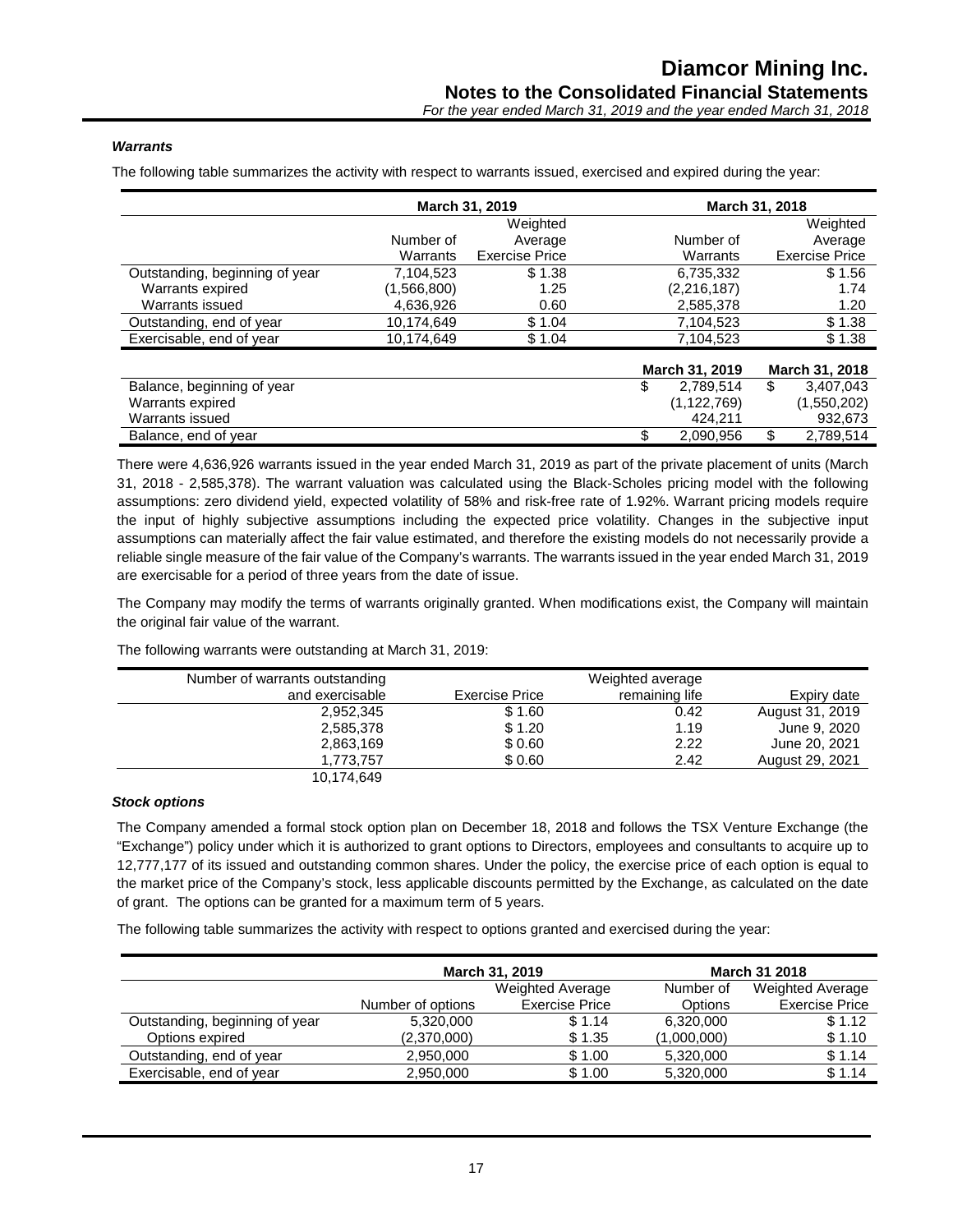# *Warrants*

The following table summarizes the activity with respect to warrants issued, exercised and expired during the year:

|                                |             | March 31, 2019        |                 | March 31, 2018        |
|--------------------------------|-------------|-----------------------|-----------------|-----------------------|
|                                |             | Weighted              |                 | Weighted              |
|                                | Number of   | Average               | Number of       | Average               |
|                                | Warrants    | <b>Exercise Price</b> | Warrants        | <b>Exercise Price</b> |
| Outstanding, beginning of year | 7.104.523   | \$1.38                | 6,735,332       | \$1.56                |
| Warrants expired               | (1,566,800) | 1.25                  | (2, 216, 187)   | 1.74                  |
| Warrants issued                | 4,636,926   | 0.60                  | 2,585,378       | 1.20                  |
| Outstanding, end of year       | 10.174.649  | \$1.04                | 7.104.523       | \$1.38                |
| Exercisable, end of year       | 10.174.649  | \$1.04                | 7.104.523       | \$1.38                |
|                                |             |                       | March 31, 2019  | March 31, 2018        |
| Balance, beginning of year     |             |                       | \$<br>2,789,514 | \$<br>3.407.043       |
| Warrants expired               |             |                       | (1, 122, 769)   | (1,550,202)           |
| Warrants issued                |             |                       | 424,211         | 932,673               |
| Balance, end of year           |             |                       | \$<br>2,090,956 | \$<br>2,789,514       |

There were 4,636,926 warrants issued in the year ended March 31, 2019 as part of the private placement of units (March 31, 2018 - 2,585,378). The warrant valuation was calculated using the Black-Scholes pricing model with the following assumptions: zero dividend yield, expected volatility of 58% and risk-free rate of 1.92%. Warrant pricing models require the input of highly subjective assumptions including the expected price volatility. Changes in the subjective input assumptions can materially affect the fair value estimated, and therefore the existing models do not necessarily provide a reliable single measure of the fair value of the Company's warrants. The warrants issued in the year ended March 31, 2019 are exercisable for a period of three years from the date of issue.

The Company may modify the terms of warrants originally granted. When modifications exist, the Company will maintain the original fair value of the warrant.

| Number of warrants outstanding |                | Weighted average |                 |
|--------------------------------|----------------|------------------|-----------------|
| and exercisable                | Exercise Price | remaining life   | Expiry date     |
| 2,952,345                      | \$1.60         | 0.42             | August 31, 2019 |
| 2,585,378                      | \$1.20         | 1.19             | June 9, 2020    |
| 2,863,169                      | \$0.60         | 2.22             | June 20, 2021   |
| 1,773,757                      | \$0.60         | 2.42             | August 29, 2021 |
| 10,174,649                     |                |                  |                 |

The following warrants were outstanding at March 31, 2019:

#### *Stock options*

The Company amended a formal stock option plan on December 18, 2018 and follows the TSX Venture Exchange (the "Exchange") policy under which it is authorized to grant options to Directors, employees and consultants to acquire up to 12,777,177 of its issued and outstanding common shares. Under the policy, the exercise price of each option is equal to the market price of the Company's stock, less applicable discounts permitted by the Exchange, as calculated on the date of grant. The options can be granted for a maximum term of 5 years.

The following table summarizes the activity with respect to options granted and exercised during the year:

|                                |                         | March 31, 2019 |             | <b>March 31 2018</b>    |
|--------------------------------|-------------------------|----------------|-------------|-------------------------|
|                                | <b>Weighted Average</b> |                | Number of   | <b>Weighted Average</b> |
|                                | Number of options       | Exercise Price | Options     | <b>Exercise Price</b>   |
| Outstanding, beginning of year | 5,320,000               | \$1.14         | 6,320,000   | \$1.12                  |
| Options expired                | (2,370,000)             | \$1.35         | (1,000,000) | \$1.10                  |
| Outstanding, end of year       | 2,950,000               | \$1.00         | 5,320,000   | \$1.14                  |
| Exercisable, end of year       | 2,950,000               | \$1.00         | 5,320,000   | \$1.14                  |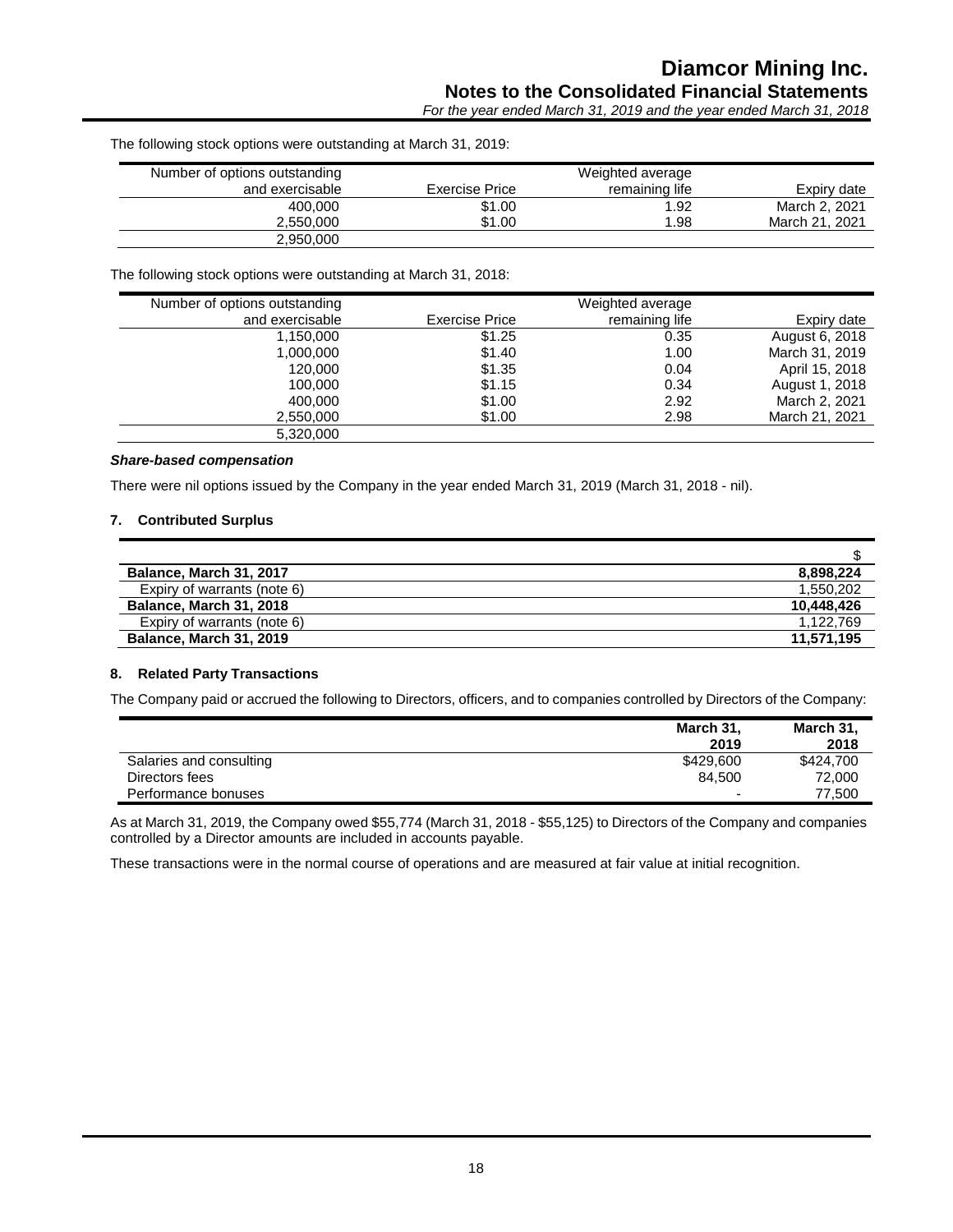| The following stock options were outstanding at March 31, 2019: |                |                  |                |
|-----------------------------------------------------------------|----------------|------------------|----------------|
| Number of options outstanding                                   |                | Weighted average |                |
| and exercisable                                                 | Exercise Price | remaining life   | Expiry date    |
| 400.000                                                         | \$1.00         | 1.92             | March 2, 2021  |
| 2,550,000                                                       | \$1.00         | 1.98             | March 21, 2021 |
| 2,950,000                                                       |                |                  |                |

The following stock options were outstanding at March 31, 2018:

| Number of options outstanding |                | Weighted average |                |
|-------------------------------|----------------|------------------|----------------|
| and exercisable               | Exercise Price | remaining life   | Expiry date    |
| 1,150,000                     | \$1.25         | 0.35             | August 6, 2018 |
| 1,000,000                     | \$1.40         | 1.00             | March 31, 2019 |
| 120,000                       | \$1.35         | 0.04             | April 15, 2018 |
| 100,000                       | \$1.15         | 0.34             | August 1, 2018 |
| 400.000                       | \$1.00         | 2.92             | March 2, 2021  |
| 2,550,000                     | \$1.00         | 2.98             | March 21, 2021 |
| 5,320,000                     |                |                  |                |

#### *Share-based compensation*

There were nil options issued by the Company in the year ended March 31, 2019 (March 31, 2018 - nil).

#### **7. Contributed Surplus**

| Balance, March 31, 2017        | 8,898,224  |
|--------------------------------|------------|
| Expiry of warrants (note 6)    | 1,550,202  |
| Balance, March 31, 2018        | 10,448,426 |
| Expiry of warrants (note 6)    | 1.122.769  |
| <b>Balance, March 31, 2019</b> | 11,571,195 |

# **8. Related Party Transactions**

The Company paid or accrued the following to Directors, officers, and to companies controlled by Directors of the Company:

|                         | March 31,<br>2019        | March 31,<br>2018 |
|-------------------------|--------------------------|-------------------|
| Salaries and consulting | \$429,600                | \$424,700         |
| Directors fees          | 84.500                   | 72,000            |
| Performance bonuses     | $\overline{\phantom{0}}$ | 77,500            |

As at March 31, 2019, the Company owed \$55,774 (March 31, 2018 - \$55,125) to Directors of the Company and companies controlled by a Director amounts are included in accounts payable.

These transactions were in the normal course of operations and are measured at fair value at initial recognition.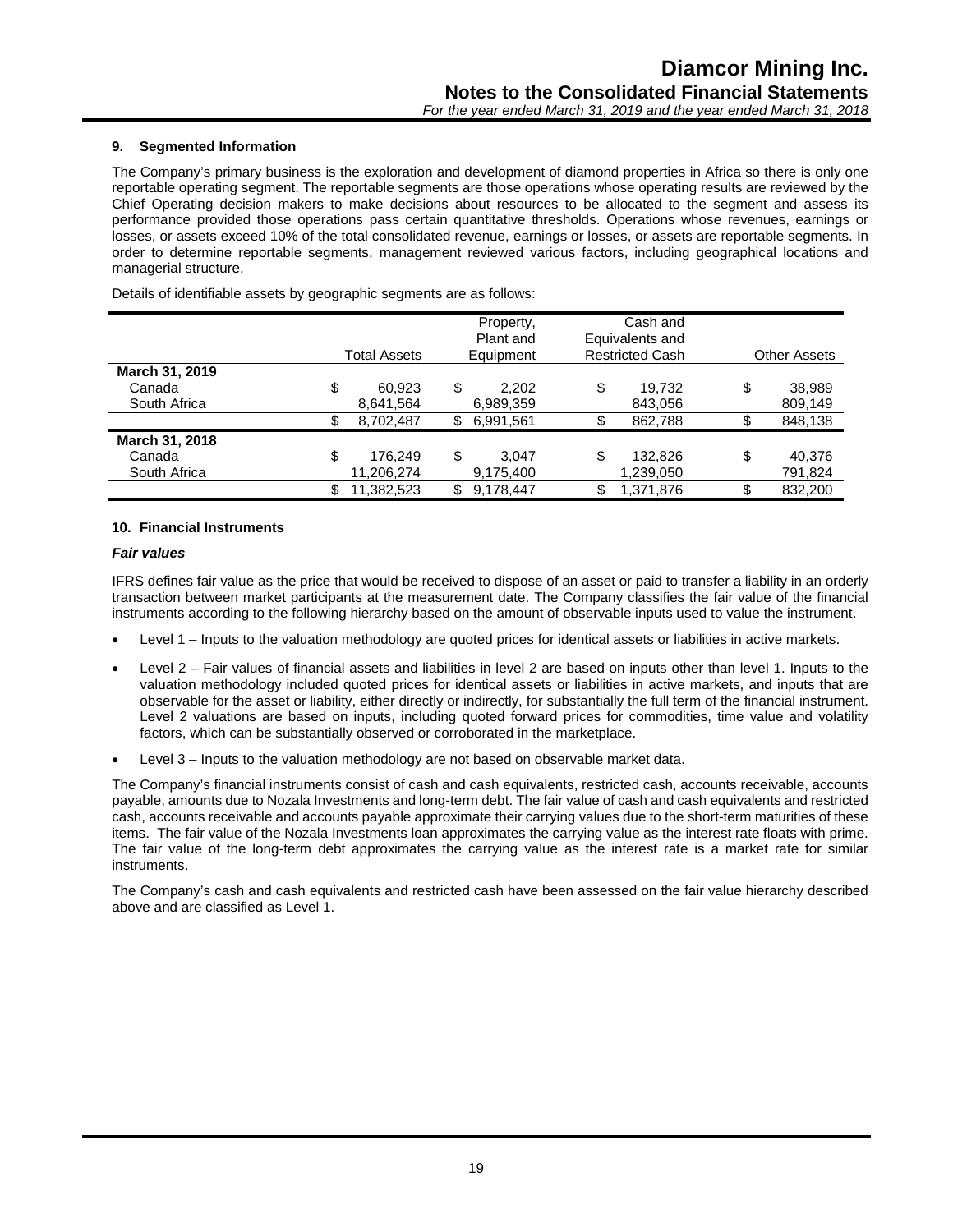#### **9. Segmented Information**

The Company's primary business is the exploration and development of diamond properties in Africa so there is only one reportable operating segment. The reportable segments are those operations whose operating results are reviewed by the Chief Operating decision makers to make decisions about resources to be allocated to the segment and assess its performance provided those operations pass certain quantitative thresholds. Operations whose revenues, earnings or losses, or assets exceed 10% of the total consolidated revenue, earnings or losses, or assets are reportable segments. In order to determine reportable segments, management reviewed various factors, including geographical locations and managerial structure.

Details of identifiable assets by geographic segments are as follows:

|                | <b>Total Assets</b> | Property,<br>Plant and<br>Equipment | Cash and<br>Equivalents and<br><b>Restricted Cash</b> |    | Other Assets |
|----------------|---------------------|-------------------------------------|-------------------------------------------------------|----|--------------|
| March 31, 2019 |                     |                                     |                                                       |    |              |
| Canada         | \$<br>60,923        | \$<br>2.202                         | \$<br>19,732                                          | \$ | 38,989       |
| South Africa   | 8,641,564           | 6,989,359                           | 843,056                                               |    | 809,149      |
|                | 8,702,487           | \$<br>6.991.561                     | \$<br>862,788                                         |    | 848,138      |
| March 31, 2018 |                     |                                     |                                                       |    |              |
| Canada         | \$<br>176.249       | \$<br>3.047                         | \$<br>132,826                                         | \$ | 40,376       |
| South Africa   | 11,206,274          | 9,175,400                           | 1,239,050                                             |    | 791,824      |
|                | 11,382,523          | \$<br>9,178,447                     | \$<br>1,371,876                                       |    | 832,200      |

#### **10. Financial Instruments**

#### *Fair values*

IFRS defines fair value as the price that would be received to dispose of an asset or paid to transfer a liability in an orderly transaction between market participants at the measurement date. The Company classifies the fair value of the financial instruments according to the following hierarchy based on the amount of observable inputs used to value the instrument.

- Level 1 Inputs to the valuation methodology are quoted prices for identical assets or liabilities in active markets.
- Level 2 Fair values of financial assets and liabilities in level 2 are based on inputs other than level 1. Inputs to the valuation methodology included quoted prices for identical assets or liabilities in active markets, and inputs that are observable for the asset or liability, either directly or indirectly, for substantially the full term of the financial instrument. Level 2 valuations are based on inputs, including quoted forward prices for commodities, time value and volatility factors, which can be substantially observed or corroborated in the marketplace.
- Level 3 Inputs to the valuation methodology are not based on observable market data.

The Company's financial instruments consist of cash and cash equivalents, restricted cash, accounts receivable, accounts payable, amounts due to Nozala Investments and long-term debt. The fair value of cash and cash equivalents and restricted cash, accounts receivable and accounts payable approximate their carrying values due to the short-term maturities of these items. The fair value of the Nozala Investments loan approximates the carrying value as the interest rate floats with prime. The fair value of the long-term debt approximates the carrying value as the interest rate is a market rate for similar instruments.

The Company's cash and cash equivalents and restricted cash have been assessed on the fair value hierarchy described above and are classified as Level 1.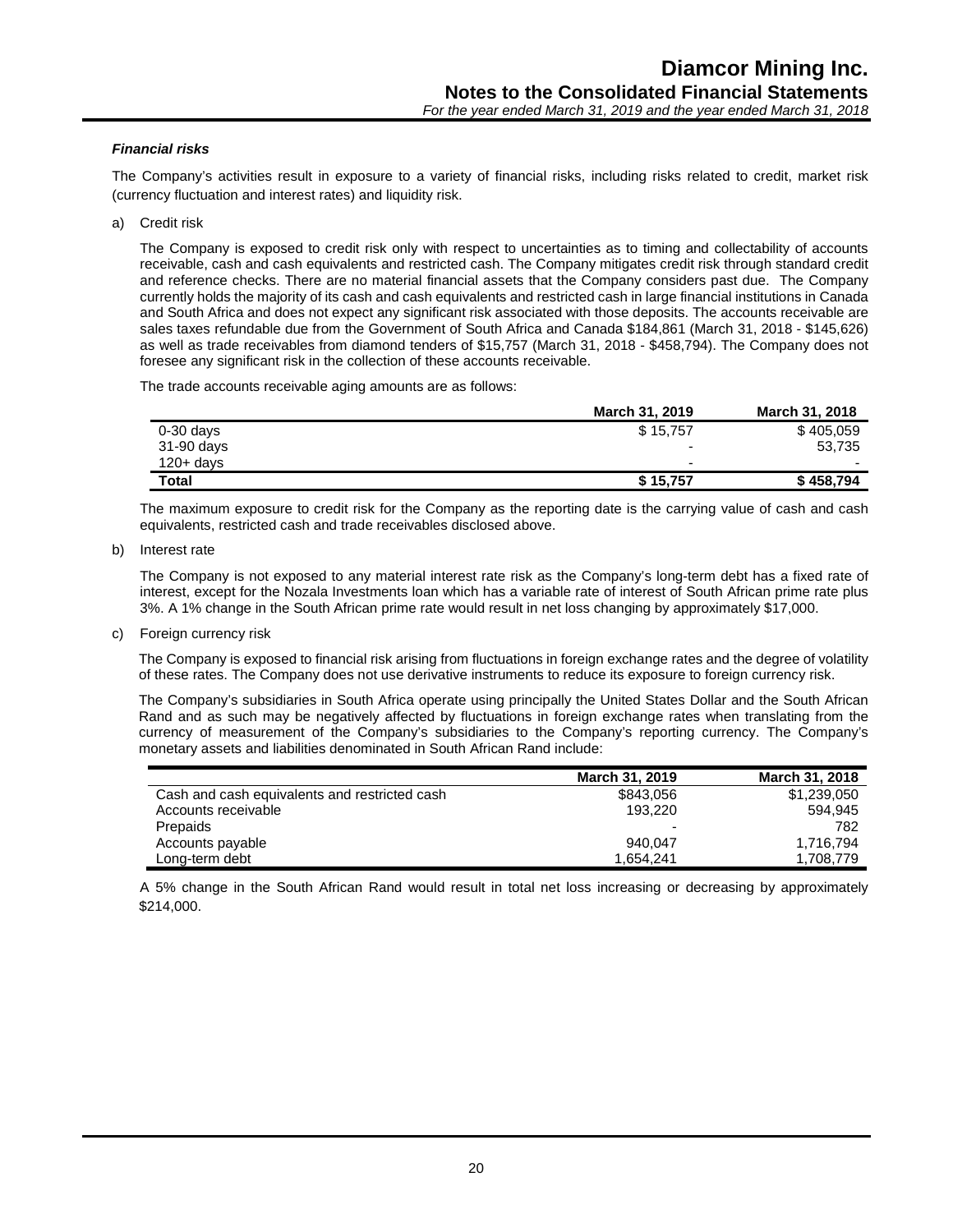# *Financial risks*

The Company's activities result in exposure to a variety of financial risks, including risks related to credit, market risk (currency fluctuation and interest rates) and liquidity risk.

a) Credit risk

The Company is exposed to credit risk only with respect to uncertainties as to timing and collectability of accounts receivable, cash and cash equivalents and restricted cash. The Company mitigates credit risk through standard credit and reference checks. There are no material financial assets that the Company considers past due. The Company currently holds the majority of its cash and cash equivalents and restricted cash in large financial institutions in Canada and South Africa and does not expect any significant risk associated with those deposits. The accounts receivable are sales taxes refundable due from the Government of South Africa and Canada \$184,861 (March 31, 2018 - \$145,626) as well as trade receivables from diamond tenders of \$15,757 (March 31, 2018 - \$458,794). The Company does not foresee any significant risk in the collection of these accounts receivable.

The trade accounts receivable aging amounts are as follows:

|              | March 31, 2019           | March 31, 2018 |
|--------------|--------------------------|----------------|
| $0-30$ days  | \$15,757                 | \$405,059      |
| 31-90 days   | $\overline{\phantom{0}}$ | 53.735         |
| $120 + days$ | $\overline{\phantom{0}}$ |                |
| Total        | \$15,757                 | \$458,794      |

The maximum exposure to credit risk for the Company as the reporting date is the carrying value of cash and cash equivalents, restricted cash and trade receivables disclosed above.

b) Interest rate

The Company is not exposed to any material interest rate risk as the Company's long-term debt has a fixed rate of interest, except for the Nozala Investments loan which has a variable rate of interest of South African prime rate plus 3%. A 1% change in the South African prime rate would result in net loss changing by approximately \$17,000.

c) Foreign currency risk

The Company is exposed to financial risk arising from fluctuations in foreign exchange rates and the degree of volatility of these rates. The Company does not use derivative instruments to reduce its exposure to foreign currency risk.

The Company's subsidiaries in South Africa operate using principally the United States Dollar and the South African Rand and as such may be negatively affected by fluctuations in foreign exchange rates when translating from the currency of measurement of the Company's subsidiaries to the Company's reporting currency. The Company's monetary assets and liabilities denominated in South African Rand include:

|                                               | March 31, 2019 | <b>March 31, 2018</b> |
|-----------------------------------------------|----------------|-----------------------|
| Cash and cash equivalents and restricted cash | \$843.056      | \$1,239,050           |
| Accounts receivable                           | 193.220        | 594.945               |
| Prepaids                                      |                | 782                   |
| Accounts payable                              | 940.047        | 1,716,794             |
| Long-term debt                                | 1.654.241      | 1,708,779             |

A 5% change in the South African Rand would result in total net loss increasing or decreasing by approximately \$214,000.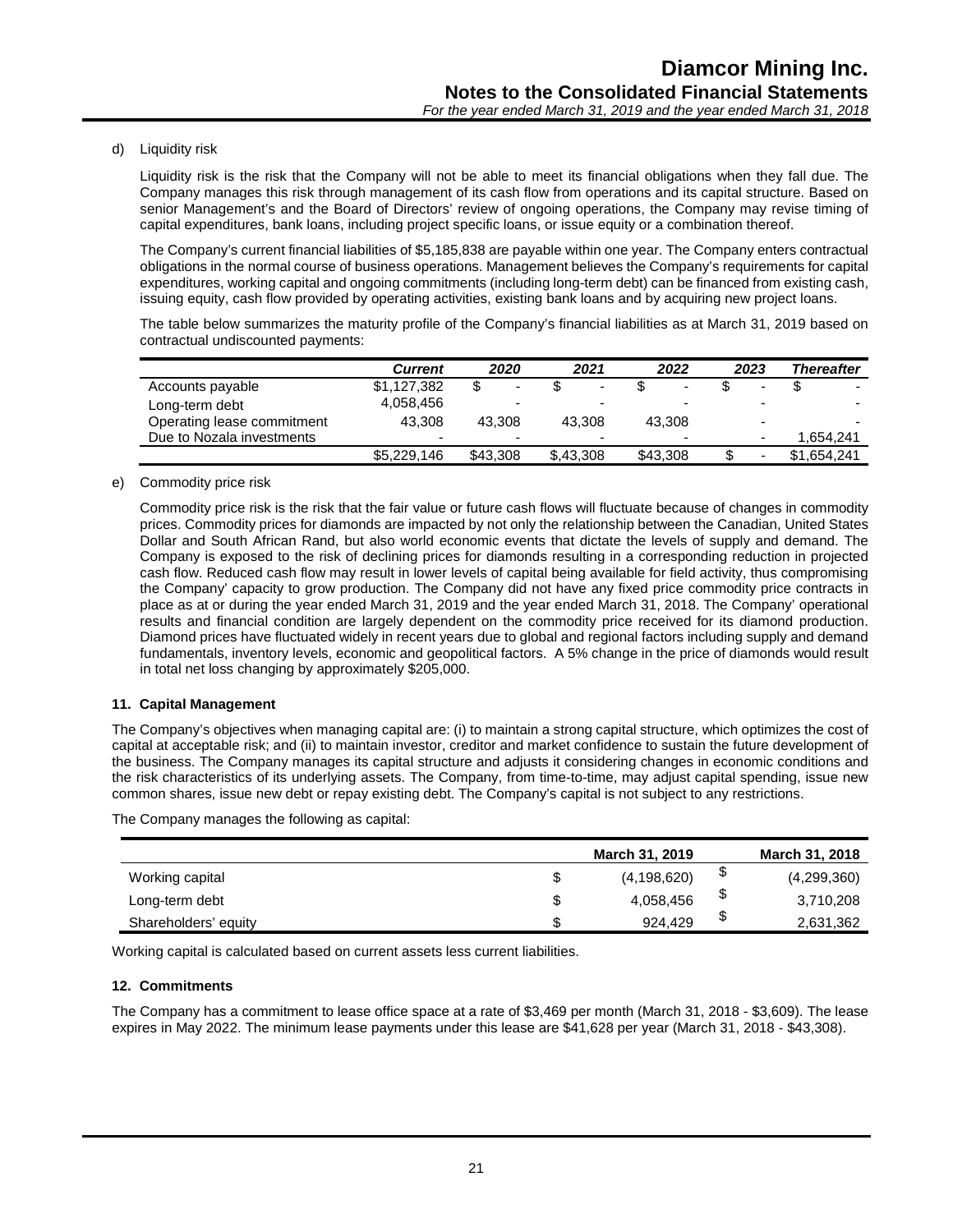d) Liquidity risk

Liquidity risk is the risk that the Company will not be able to meet its financial obligations when they fall due. The Company manages this risk through management of its cash flow from operations and its capital structure. Based on senior Management's and the Board of Directors' review of ongoing operations, the Company may revise timing of capital expenditures, bank loans, including project specific loans, or issue equity or a combination thereof.

The Company's current financial liabilities of \$5,185,838 are payable within one year. The Company enters contractual obligations in the normal course of business operations. Management believes the Company's requirements for capital expenditures, working capital and ongoing commitments (including long-term debt) can be financed from existing cash, issuing equity, cash flow provided by operating activities, existing bank loans and by acquiring new project loans.

The table below summarizes the maturity profile of the Company's financial liabilities as at March 31, 2019 based on contractual undiscounted payments:

|                            | <b>Current</b> | 2020                           | 2021                     | 2022     | 2023 | <b>Thereafter</b> |
|----------------------------|----------------|--------------------------------|--------------------------|----------|------|-------------------|
| Accounts payable           | \$1.127.382    | \$<br>$\overline{\phantom{0}}$ | ٠                        | ۰        |      |                   |
| Long-term debt             | 4,058,456      | $\overline{\phantom{0}}$       | $\overline{\phantom{0}}$ |          |      | -                 |
| Operating lease commitment | 43.308         | 43.308                         | 43.308                   | 43.308   |      | -                 |
| Due to Nozala investments  |                |                                | -                        |          |      | .654.241          |
|                            | \$5.229.146    | \$43,308                       | \$,43,308                | \$43,308 | ۰    | \$1,654,241       |

e) Commodity price risk

Commodity price risk is the risk that the fair value or future cash flows will fluctuate because of changes in commodity prices. Commodity prices for diamonds are impacted by not only the relationship between the Canadian, United States Dollar and South African Rand, but also world economic events that dictate the levels of supply and demand. The Company is exposed to the risk of declining prices for diamonds resulting in a corresponding reduction in projected cash flow. Reduced cash flow may result in lower levels of capital being available for field activity, thus compromising the Company' capacity to grow production. The Company did not have any fixed price commodity price contracts in place as at or during the year ended March 31, 2019 and the year ended March 31, 2018. The Company' operational results and financial condition are largely dependent on the commodity price received for its diamond production. Diamond prices have fluctuated widely in recent years due to global and regional factors including supply and demand fundamentals, inventory levels, economic and geopolitical factors. A 5% change in the price of diamonds would result in total net loss changing by approximately \$205,000.

# **11. Capital Management**

The Company's objectives when managing capital are: (i) to maintain a strong capital structure, which optimizes the cost of capital at acceptable risk; and (ii) to maintain investor, creditor and market confidence to sustain the future development of the business. The Company manages its capital structure and adjusts it considering changes in economic conditions and the risk characteristics of its underlying assets. The Company, from time-to-time, may adjust capital spending, issue new common shares, issue new debt or repay existing debt. The Company's capital is not subject to any restrictions.

The Company manages the following as capital:

|                      | March 31, 2019 |    | March 31, 2018 |
|----------------------|----------------|----|----------------|
| Working capital      | (4, 198, 620)  | Φ  | (4,299,360)    |
| Long-term debt       | 4,058,456      | \$ | 3,710,208      |
| Shareholders' equity | 924.429        | \$ | 2,631,362      |

Working capital is calculated based on current assets less current liabilities.

# **12. Commitments**

The Company has a commitment to lease office space at a rate of \$3,469 per month (March 31, 2018 - \$3,609). The lease expires in May 2022. The minimum lease payments under this lease are \$41,628 per year (March 31, 2018 - \$43,308).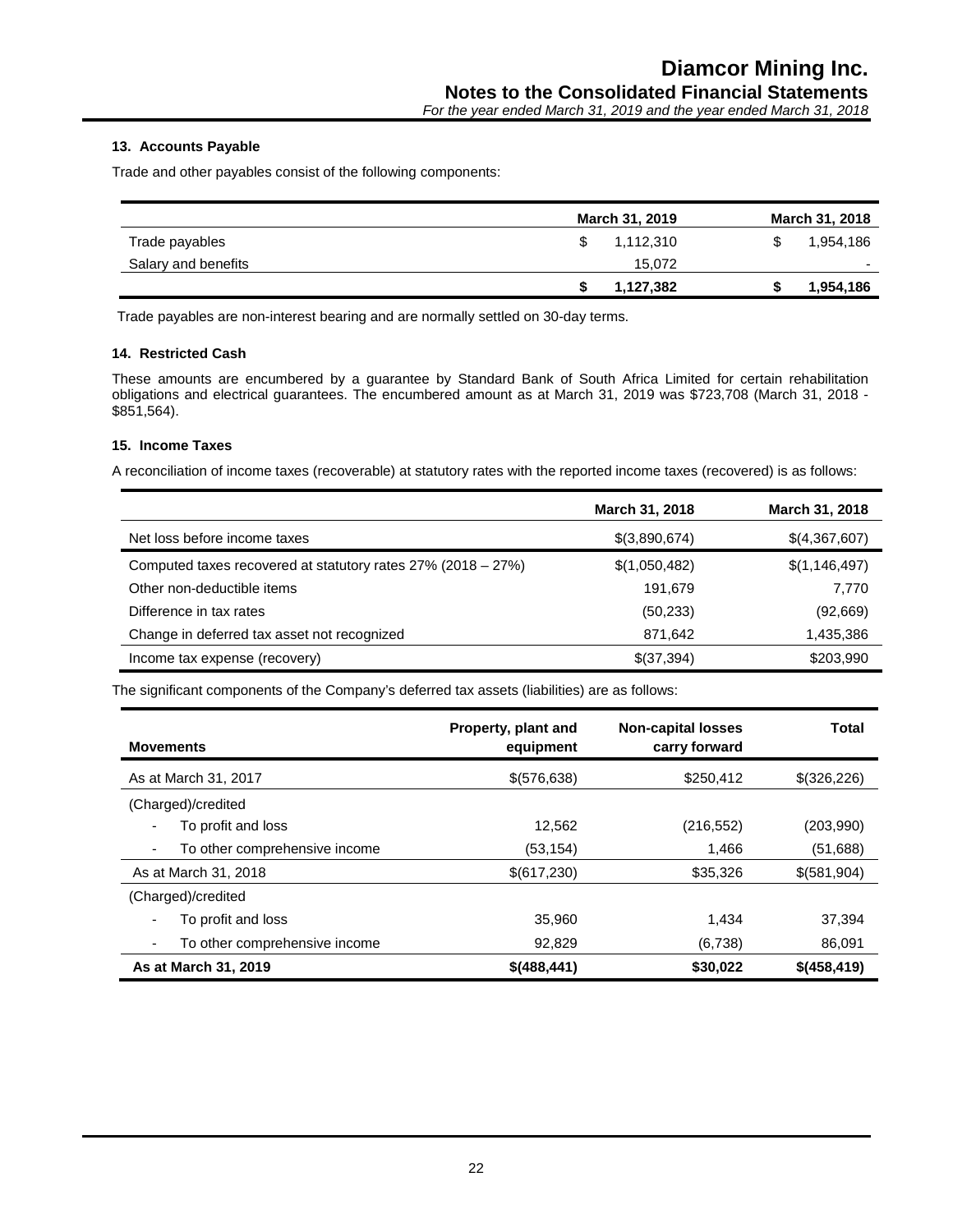# **13. Accounts Payable**

Trade and other payables consist of the following components:

|                     | March 31, 2019 | <b>March 31, 2018</b> |
|---------------------|----------------|-----------------------|
| Trade payables      | 1.112.310      | 1.954.186             |
| Salary and benefits | 15.072         | -                     |
|                     | 1,127,382      | 1,954,186             |

Trade payables are non-interest bearing and are normally settled on 30-day terms.

# **14. Restricted Cash**

These amounts are encumbered by a guarantee by Standard Bank of South Africa Limited for certain rehabilitation obligations and electrical guarantees. The encumbered amount as at March 31, 2019 was \$723,708 (March 31, 2018 - \$851,564).

# **15. Income Taxes**

A reconciliation of income taxes (recoverable) at statutory rates with the reported income taxes (recovered) is as follows:

|                                                              | <b>March 31, 2018</b> | <b>March 31, 2018</b> |
|--------------------------------------------------------------|-----------------------|-----------------------|
| Net loss before income taxes                                 | \$(3,890,674)         | \$(4,367,607)         |
| Computed taxes recovered at statutory rates 27% (2018 – 27%) | \$(1,050,482)         | \$(1,146,497)         |
| Other non-deductible items                                   | 191.679               | 7,770                 |
| Difference in tax rates                                      | (50, 233)             | (92, 669)             |
| Change in deferred tax asset not recognized                  | 871,642               | 1,435,386             |
| Income tax expense (recovery)                                | \$(37,394)            | \$203,990             |

The significant components of the Company's deferred tax assets (liabilities) are as follows:

| <b>Movements</b>                                          | Property, plant and<br>equipment | <b>Non-capital losses</b><br>carry forward | <b>Total</b>  |
|-----------------------------------------------------------|----------------------------------|--------------------------------------------|---------------|
| As at March 31, 2017                                      | \$(576,638)                      | \$250,412                                  | \$(326,226)   |
| (Charged)/credited                                        |                                  |                                            |               |
| To profit and loss<br>$\overline{\phantom{a}}$            | 12,562                           | (216, 552)                                 | (203,990)     |
| To other comprehensive income<br>٠                        | (53, 154)                        | 1,466                                      | (51,688)      |
| As at March 31, 2018                                      | \$(617,230)                      | \$35,326                                   | \$ (581,904)  |
| (Charged)/credited                                        |                                  |                                            |               |
| To profit and loss<br>$\overline{\phantom{0}}$            | 35,960                           | 1,434                                      | 37,394        |
| To other comprehensive income<br>$\overline{\phantom{a}}$ | 92,829                           | (6,738)                                    | 86,091        |
| As at March 31, 2019                                      | $$$ (488,441)                    | \$30,022                                   | $$$ (458,419) |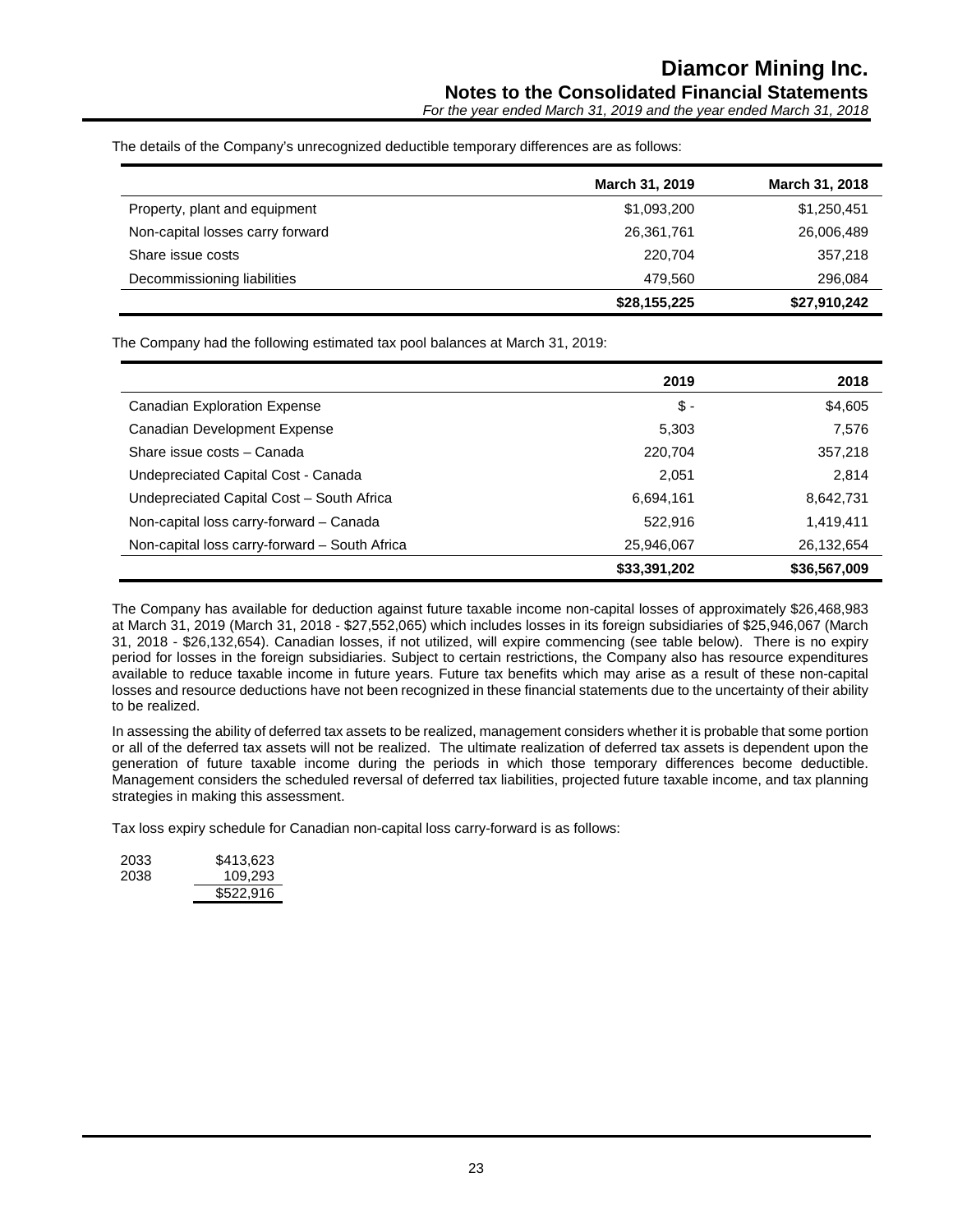The details of the Company's unrecognized deductible temporary differences are as follows:

|                                  | March 31, 2019 | March 31, 2018 |
|----------------------------------|----------------|----------------|
| Property, plant and equipment    | \$1,093,200    | \$1,250,451    |
| Non-capital losses carry forward | 26,361,761     | 26,006,489     |
| Share issue costs                | 220.704        | 357,218        |
| Decommissioning liabilities      | 479.560        | 296,084        |
|                                  | \$28,155,225   | \$27,910,242   |

The Company had the following estimated tax pool balances at March 31, 2019:

|                                               | 2019         | 2018         |
|-----------------------------------------------|--------------|--------------|
| <b>Canadian Exploration Expense</b>           | \$ -         | \$4,605      |
| Canadian Development Expense                  | 5,303        | 7,576        |
| Share issue costs - Canada                    | 220,704      | 357,218      |
| Undepreciated Capital Cost - Canada           | 2,051        | 2,814        |
| Undepreciated Capital Cost - South Africa     | 6,694,161    | 8,642,731    |
| Non-capital loss carry-forward - Canada       | 522.916      | 1,419,411    |
| Non-capital loss carry-forward - South Africa | 25,946,067   | 26,132,654   |
|                                               | \$33,391,202 | \$36,567,009 |

The Company has available for deduction against future taxable income non-capital losses of approximately \$26,468,983 at March 31, 2019 (March 31, 2018 - \$27,552,065) which includes losses in its foreign subsidiaries of \$25,946,067 (March 31, 2018 - \$26,132,654). Canadian losses, if not utilized, will expire commencing (see table below). There is no expiry period for losses in the foreign subsidiaries. Subject to certain restrictions, the Company also has resource expenditures available to reduce taxable income in future years. Future tax benefits which may arise as a result of these non-capital losses and resource deductions have not been recognized in these financial statements due to the uncertainty of their ability to be realized.

In assessing the ability of deferred tax assets to be realized, management considers whether it is probable that some portion or all of the deferred tax assets will not be realized. The ultimate realization of deferred tax assets is dependent upon the generation of future taxable income during the periods in which those temporary differences become deductible. Management considers the scheduled reversal of deferred tax liabilities, projected future taxable income, and tax planning strategies in making this assessment.

Tax loss expiry schedule for Canadian non-capital loss carry-forward is as follows:

| 2033 | \$413,623 |
|------|-----------|
| 2038 | 109,293   |
|      | \$522,916 |